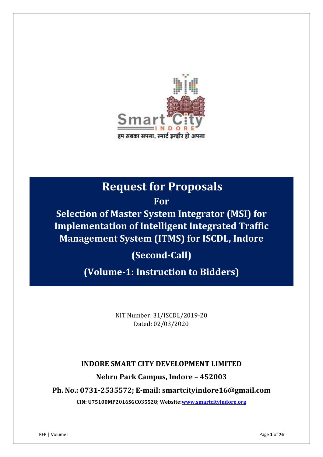

## **Request for Proposals**

**For**

**Selection of Master System Integrator (MSI) for Implementation of Intelligent Integrated Traffic Management System (ITMS) for ISCDL, Indore** 

**(Second-Call)**

**(Volume-1: Instruction to Bidders)**

NIT Number: 31/ISCDL/2019-20 Dated: 02/03/2020

## **INDORE SMART CITY DEVELOPMENT LIMITED**

## **Nehru Park Campus, Indore – 452003**

**Ph. No.: 0731-2535572; E-mail: smartcityindore16@gmail.com**

**CIN: U75100MP2016SGC035528; Website[:www.smartcityindore.org](http://www.smartcityindore.org/)**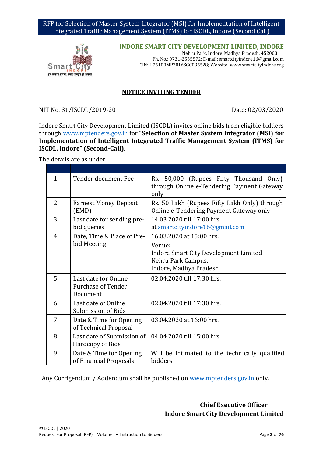

**INDORE SMART CITY DEVELOPMENT LIMITED, INDORE** Nehru Park, Indore, Madhya Pradesh, 452003 Ph. No.: 0731-2535572; E-mail: smartcityindore16@gmail.com CIN: U75100MP2016SGC035528; Website: www.smartcityindore.org

#### **NOTICE INVITING TENDER**

NIT No. 31/ISCDL/2019-20 Date: 02/03/2020

Indore Smart City Development Limited (ISCDL) invites online bids from eligible bidders through www.mptenders.gov.in for "**Selection of Master System Integrator (MSI) for Implementation of Intelligent Integrated Traffic Management System (ITMS) for ISCDL, Indore" (Second-Call)**.

The details are as under.

| 1              | Tender document Fee                                                                                                              | Rs. 50,000 (Rupees Fifty Thousand Only)<br>through Online e-Tendering Payment Gateway<br>only                                      |  |
|----------------|----------------------------------------------------------------------------------------------------------------------------------|------------------------------------------------------------------------------------------------------------------------------------|--|
| $\overline{2}$ | Rs. 50 Lakh (Rupees Fifty Lakh Only) through<br><b>Earnest Money Deposit</b><br>Online e-Tendering Payment Gateway only<br>(EMD) |                                                                                                                                    |  |
| 3              | Last date for sending pre-<br>bid queries                                                                                        | 14.03.2020 till 17:00 hrs.<br>at smartcityindore16@gmail.com                                                                       |  |
| 4              | Date, Time & Place of Pre-<br>bid Meeting                                                                                        | 16.03.2020 at 15:00 hrs.<br>Venue:<br><b>Indore Smart City Development Limited</b><br>Nehru Park Campus,<br>Indore, Madhya Pradesh |  |
| 5              | Last date for Online<br>Purchase of Tender<br>Document                                                                           | 02.04.2020 till 17:30 hrs.                                                                                                         |  |
| 6              | Last date of Online<br>Submission of Bids                                                                                        | 02.04.2020 till 17:30 hrs.                                                                                                         |  |
| 7              | Date & Time for Opening<br>of Technical Proposal                                                                                 | 03.04.2020 at 16:00 hrs.                                                                                                           |  |
| 8              | Last date of Submission of<br>Hardcopy of Bids                                                                                   | 04.04.2020 till 15:00 hrs.                                                                                                         |  |
| 9              | Date & Time for Opening<br>of Financial Proposals                                                                                | Will be intimated to the technically qualified<br>bidders                                                                          |  |

Any Corrigendum / Addendum shall be published o[n www.mptenders.gov.in](http://www.mptenders.gov.in/) only.

 **Chief Executive Officer Indore Smart City Development Limited**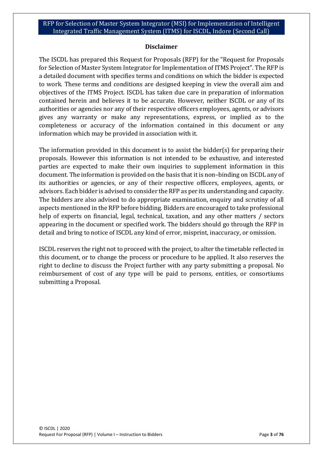#### **Disclaimer**

The ISCDL has prepared this Request for Proposals (RFP) for the "Request for Proposals for Selection of Master System Integrator for Implementation of ITMS Project". The RFP is a detailed document with specifies terms and conditions on which the bidder is expected to work. These terms and conditions are designed keeping in view the overall aim and objectives of the ITMS Project. ISCDL has taken due care in preparation of information contained herein and believes it to be accurate. However, neither ISCDL or any of its authorities or agencies nor any of their respective officers employees, agents, or advisors gives any warranty or make any representations, express, or implied as to the completeness or accuracy of the information contained in this document or any information which may be provided in association with it.

The information provided in this document is to assist the bidder(s) for preparing their proposals. However this information is not intended to be exhaustive, and interested parties are expected to make their own inquiries to supplement information in this document. The information is provided on the basis that it is non–binding on ISCDL any of its authorities or agencies, or any of their respective officers, employees, agents, or advisors. Each bidder is advised to consider the RFP as per its understanding and capacity. The bidders are also advised to do appropriate examination, enquiry and scrutiny of all aspects mentioned in the RFP before bidding. Bidders are encouraged to take professional help of experts on financial, legal, technical, taxation, and any other matters / sectors appearing in the document or specified work. The bidders should go through the RFP in detail and bring to notice of ISCDL any kind of error, misprint, inaccuracy, or omission.

ISCDL reserves the right not to proceed with the project, to alter the timetable reflected in this document, or to change the process or procedure to be applied. It also reserves the right to decline to discuss the Project further with any party submitting a proposal. No reimbursement of cost of any type will be paid to persons, entities, or consortiums submitting a Proposal.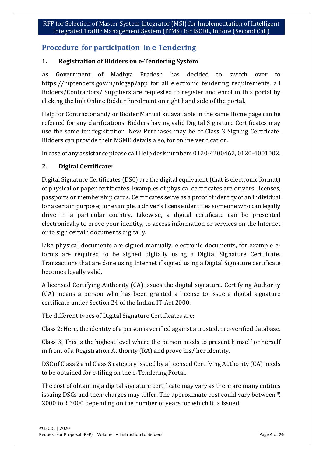## **Procedure for participation in e-Tendering**

## **1. Registration of Bidders on e-Tendering System**

As Government of Madhya Pradesh has decided to switch over to https://mptenders.gov.in/nicgep/app for all electronic tendering requirements, all Bidders/Contractors/ Suppliers are requested to register and enrol in this portal by clicking the link Online Bidder Enrolment on right hand side of the portal.

Help for Contractor and/ or Bidder Manual kit available in the same Home page can be referred for any clarifications. Bidders having valid Digital Signature Certificates may use the same for registration. New Purchases may be of Class 3 Signing Certificate. Bidders can provide their MSME details also, for online verification.

In case of any assistance please call Help desk numbers 0120-4200462, 0120-4001002.

## **2. Digital Certificate:**

Digital Signature Certificates (DSC) are the digital equivalent (that is electronic format) of physical or paper certificates. Examples of physical certificates are drivers' licenses, passports or membership cards. Certificates serve as a proof of identity of an individual for a certain purpose; for example, a driver's license identifies someone who can legally drive in a particular country. Likewise, a digital certificate can be presented electronically to prove your identity, to access information or services on the Internet or to sign certain documents digitally.

Like physical documents are signed manually, electronic documents, for example eforms are required to be signed digitally using a Digital Signature Certificate. Transactions that are done using Internet if signed using a Digital Signature certificate becomes legally valid.

A licensed Certifying Authority (CA) issues the digital signature. Certifying Authority (CA) means a person who has been granted a license to issue a digital signature certificate under Section 24 of the Indian IT-Act 2000.

The different types of Digital Signature Certificates are:

Class 2: Here, the identity of a person is verified against a trusted, pre-verified database.

Class 3: This is the highest level where the person needs to present himself or herself in front of a Registration Authority (RA) and prove his/ her identity.

DSC of Class 2 and Class 3 category issued by a licensed Certifying Authority (CA) needs to be obtained for e-filing on the e-Tendering Portal.

The cost of obtaining a digital signature certificate may vary as there are many entities issuing DSCs and their charges may differ. The approximate cost could vary between ₹ 2000 to ₹3000 depending on the number of years for which it is issued.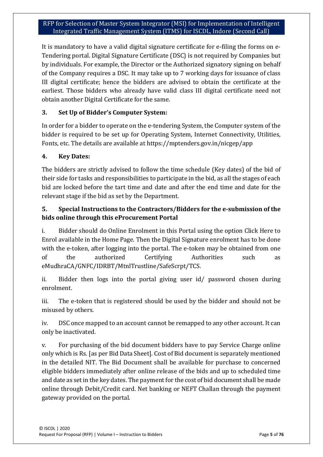It is mandatory to have a valid digital signature certificate for e-filing the forms on e-Tendering portal. Digital Signature Certificate (DSC) is not required by Companies but by individuals. For example, the Director or the Authorized signatory signing on behalf of the Company requires a DSC. It may take up to 7 working days for issuance of class III digital certificate; hence the bidders are advised to obtain the certificate at the earliest. Those bidders who already have valid class III digital certificate need not obtain another Digital Certificate for the same.

## **3. Set Up of Bidder's Computer System:**

In order for a bidder to operate on the e-tendering System, the Computer system of the bidder is required to be set up for Operating System, Internet Connectivity, Utilities, Fonts, etc. The details are available at https://mptenders.gov.in/nicgep/app

#### **4. Key Dates:**

The bidders are strictly advised to follow the time schedule (Key dates) of the bid of their side for tasks and responsibilities to participate in the bid, as all the stages of each bid are locked before the tart time and date and after the end time and date for the relevant stage if the bid as set by the Department.

## **5. Special Instructions to the Contractors/Bidders for the e-submission of the bids online through this eProcurement Portal**

i. Bidder should do Online Enrolment in this Portal using the option Click Here to Enrol available in the Home Page. Then the Digital Signature enrolment has to be done with the e-token, after logging into the portal. The e-token may be obtained from one of the authorized Certifying Authorities such as eMudhraCA/GNFC/IDRBT/MtnlTrustline/SafeScrpt/TCS.

ii. Bidder then logs into the portal giving user id/ password chosen during enrolment.

iii. The e-token that is registered should be used by the bidder and should not be misused by others.

iv. DSC once mapped to an account cannot be remapped to any other account. It can only be inactivated.

v. For purchasing of the bid document bidders have to pay Service Charge online only which is Rs. [as per Bid Data Sheet]. Cost of Bid document is separately mentioned in the detailed NIT. The Bid Document shall be available for purchase to concerned eligible bidders immediately after online release of the bids and up to scheduled time and date as set in the key dates. The payment for the cost of bid document shall be made online through Debit/Credit card. Net banking or NEFT Challan through the payment gateway provided on the portal.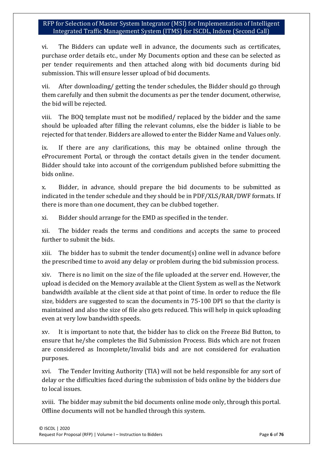vi. The Bidders can update well in advance, the documents such as certificates, purchase order details etc., under My Documents option and these can be selected as per tender requirements and then attached along with bid documents during bid submission. This will ensure lesser upload of bid documents.

vii. After downloading/ getting the tender schedules, the Bidder should go through them carefully and then submit the documents as per the tender document, otherwise, the bid will be rejected.

viii. The BOQ template must not be modified/ replaced by the bidder and the same should be uploaded after filling the relevant columns, else the bidder is liable to be rejected for that tender. Bidders are allowed to enter the Bidder Name and Values only.

ix. If there are any clarifications, this may be obtained online through the eProcurement Portal, or through the contact details given in the tender document. Bidder should take into account of the corrigendum published before submitting the bids online.

x. Bidder, in advance, should prepare the bid documents to be submitted as indicated in the tender schedule and they should be in PDF/XLS/RAR/DWF formats. If there is more than one document, they can be clubbed together.

xi. Bidder should arrange for the EMD as specified in the tender.

xii. The bidder reads the terms and conditions and accepts the same to proceed further to submit the bids.

xiii. The bidder has to submit the tender document(s) online well in advance before the prescribed time to avoid any delay or problem during the bid submission process.

xiv. There is no limit on the size of the file uploaded at the server end. However, the upload is decided on the Memory available at the Client System as well as the Network bandwidth available at the client side at that point of time. In order to reduce the file size, bidders are suggested to scan the documents in 75-100 DPI so that the clarity is maintained and also the size of file also gets reduced. This will help in quick uploading even at very low bandwidth speeds.

xv. It is important to note that, the bidder has to click on the Freeze Bid Button, to ensure that he/she completes the Bid Submission Process. Bids which are not frozen are considered as Incomplete/Invalid bids and are not considered for evaluation purposes.

xvi. The Tender Inviting Authority (TIA) will not be held responsible for any sort of delay or the difficulties faced during the submission of bids online by the bidders due to local issues.

xviii. The bidder may submit the bid documents online mode only, through this portal. Offline documents will not be handled through this system.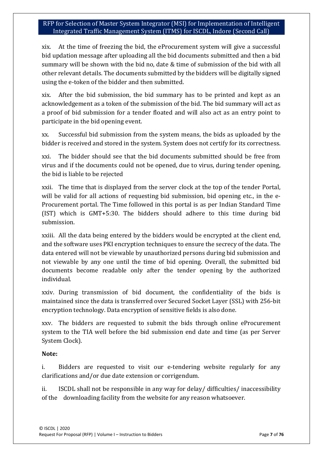xix. At the time of freezing the bid, the eProcurement system will give a successful bid updation message after uploading all the bid documents submitted and then a bid summary will be shown with the bid no, date & time of submission of the bid with all other relevant details. The documents submitted by the bidders will be digitally signed using the e-token of the bidder and then submitted.

xix. After the bid submission, the bid summary has to be printed and kept as an acknowledgement as a token of the submission of the bid. The bid summary will act as a proof of bid submission for a tender floated and will also act as an entry point to participate in the bid opening event.

xx. Successful bid submission from the system means, the bids as uploaded by the bidder is received and stored in the system. System does not certify for its correctness.

xxi. The bidder should see that the bid documents submitted should be free from virus and if the documents could not be opened, due to virus, during tender opening, the bid is liable to be rejected

xxii. The time that is displayed from the server clock at the top of the tender Portal, will be valid for all actions of requesting bid submission, bid opening etc., in the e-Procurement portal. The Time followed in this portal is as per Indian Standard Time (IST) which is GMT+5:30. The bidders should adhere to this time during bid submission.

xxiii. All the data being entered by the bidders would be encrypted at the client end, and the software uses PKI encryption techniques to ensure the secrecy of the data. The data entered will not be viewable by unauthorized persons during bid submission and not viewable by any one until the time of bid opening. Overall, the submitted bid documents become readable only after the tender opening by the authorized individual.

xxiv. During transmission of bid document, the confidentiality of the bids is maintained since the data is transferred over Secured Socket Layer (SSL) with 256-bit encryption technology. Data encryption of sensitive fields is also done.

xxv. The bidders are requested to submit the bids through online eProcurement system to the TIA well before the bid submission end date and time (as per Server System Clock).

#### **Note:**

i. Bidders are requested to visit our e-tendering website regularly for any clarifications and/or due date extension or corrigendum.

ii. ISCDL shall not be responsible in any way for delay/ difficulties/ inaccessibility of the downloading facility from the website for any reason whatsoever.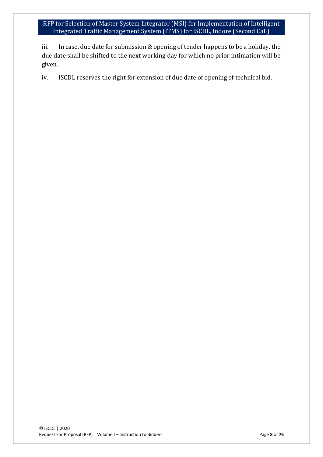iii. In case, due date for submission & opening of tender happens to be a holiday, the due date shall be shifted to the next working day for which no prior intimation will be given.

iv. ISCDL reserves the right for extension of due date of opening of technical bid.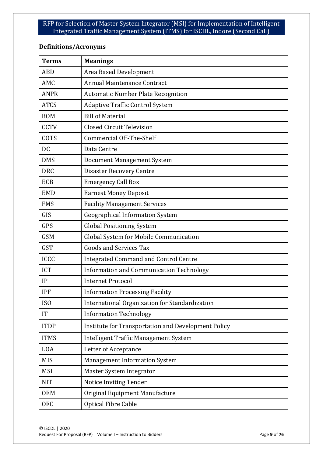## **Definitions/Acronyms**

| <b>Terms</b> | <b>Meanings</b>                                     |
|--------------|-----------------------------------------------------|
| <b>ABD</b>   | Area Based Development                              |
| AMC          | Annual Maintenance Contract                         |
| <b>ANPR</b>  | <b>Automatic Number Plate Recognition</b>           |
| <b>ATCS</b>  | <b>Adaptive Traffic Control System</b>              |
| <b>BOM</b>   | <b>Bill of Material</b>                             |
| <b>CCTV</b>  | <b>Closed Circuit Television</b>                    |
| COTS         | <b>Commercial Off-The-Shelf</b>                     |
| <b>DC</b>    | Data Centre                                         |
| <b>DMS</b>   | Document Management System                          |
| <b>DRC</b>   | <b>Disaster Recovery Centre</b>                     |
| <b>ECB</b>   | <b>Emergency Call Box</b>                           |
| <b>EMD</b>   | <b>Earnest Money Deposit</b>                        |
| <b>FMS</b>   | <b>Facility Management Services</b>                 |
| GIS          | <b>Geographical Information System</b>              |
| <b>GPS</b>   | <b>Global Positioning System</b>                    |
| <b>GSM</b>   | Global System for Mobile Communication              |
| <b>GST</b>   | <b>Goods and Services Tax</b>                       |
| <b>ICCC</b>  | <b>Integrated Command and Control Centre</b>        |
| <b>ICT</b>   | Information and Communication Technology            |
| IP           | <b>Internet Protocol</b>                            |
| <b>IPF</b>   | <b>Information Processing Facility</b>              |
| ISO          | International Organization for Standardization      |
| IT           | <b>Information Technology</b>                       |
| <b>ITDP</b>  | Institute for Transportation and Development Policy |
| <b>ITMS</b>  | Intelligent Traffic Management System               |
| <b>LOA</b>   | Letter of Acceptance                                |
| <b>MIS</b>   | <b>Management Information System</b>                |
| <b>MSI</b>   | Master System Integrator                            |
| <b>NIT</b>   | Notice Inviting Tender                              |
| <b>OEM</b>   | Original Equipment Manufacture                      |
| <b>OFC</b>   | <b>Optical Fibre Cable</b>                          |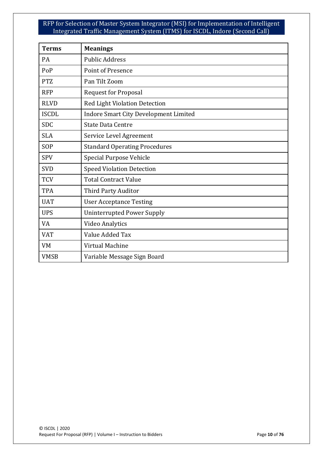| <b>Terms</b> | <b>Meanings</b>                              |
|--------------|----------------------------------------------|
| <b>PA</b>    | <b>Public Address</b>                        |
| PoP          | <b>Point of Presence</b>                     |
| <b>PTZ</b>   | Pan Tilt Zoom                                |
| <b>RFP</b>   | <b>Request for Proposal</b>                  |
| <b>RLVD</b>  | <b>Red Light Violation Detection</b>         |
| <b>ISCDL</b> | <b>Indore Smart City Development Limited</b> |
| <b>SDC</b>   | <b>State Data Centre</b>                     |
| <b>SLA</b>   | Service Level Agreement                      |
| SOP          | <b>Standard Operating Procedures</b>         |
| <b>SPV</b>   | Special Purpose Vehicle                      |
| <b>SVD</b>   | <b>Speed Violation Detection</b>             |
| <b>TCV</b>   | <b>Total Contract Value</b>                  |
| <b>TPA</b>   | Third Party Auditor                          |
| <b>UAT</b>   | <b>User Acceptance Testing</b>               |
| <b>UPS</b>   | <b>Uninterrupted Power Supply</b>            |
| VA           | <b>Video Analytics</b>                       |
| <b>VAT</b>   | Value Added Tax                              |
| <b>VM</b>    | Virtual Machine                              |
| <b>VMSB</b>  | Variable Message Sign Board                  |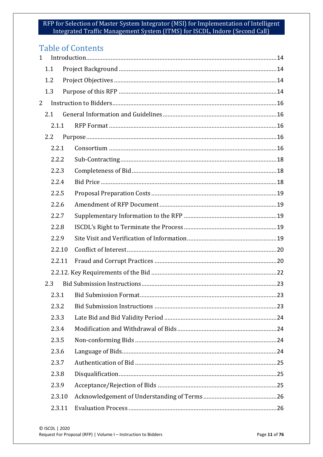## **Table of Contents**

| $\mathbf{1}$   |        |  |
|----------------|--------|--|
|                | 1.1    |  |
|                | 1.2    |  |
|                | 1.3    |  |
| $\overline{2}$ |        |  |
|                | 2.1    |  |
|                | 2.1.1  |  |
|                | 2.2    |  |
|                | 2.2.1  |  |
|                | 2.2.2  |  |
|                | 2.2.3  |  |
|                | 2.2.4  |  |
|                | 2.2.5  |  |
|                | 2.2.6  |  |
|                | 2.2.7  |  |
|                | 2.2.8  |  |
|                | 2.2.9  |  |
|                | 2.2.10 |  |
|                | 2.2.11 |  |
|                |        |  |
|                | 2.3    |  |
|                |        |  |
|                | 2.3.2  |  |
|                | 2.3.3  |  |
|                | 2.3.4  |  |
|                | 2.3.5  |  |
|                | 2.3.6  |  |
|                | 2.3.7  |  |
|                | 2.3.8  |  |
|                | 2.3.9  |  |
|                | 2.3.10 |  |
|                | 2.3.11 |  |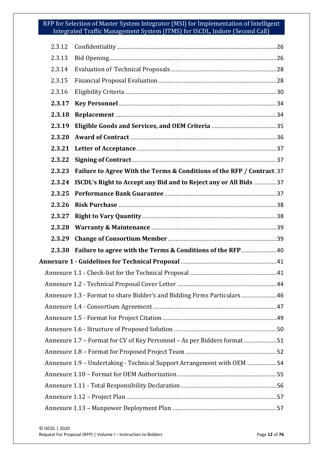| 2.3.12 |                                                                          |  |  |  |
|--------|--------------------------------------------------------------------------|--|--|--|
| 2.3.13 |                                                                          |  |  |  |
| 2.3.14 |                                                                          |  |  |  |
| 2.3.15 |                                                                          |  |  |  |
| 2.3.16 |                                                                          |  |  |  |
| 2.3.17 |                                                                          |  |  |  |
| 2.3.18 |                                                                          |  |  |  |
| 2.3.19 |                                                                          |  |  |  |
| 2.3.20 |                                                                          |  |  |  |
| 2.3.21 |                                                                          |  |  |  |
| 2.3.22 |                                                                          |  |  |  |
| 2.3.23 | Failure to Agree With the Terms & Conditions of the RFP / Contract.37    |  |  |  |
| 2.3.24 | ISCDL's Right to Accept any Bid and to Reject any or All Bids 37         |  |  |  |
| 2.3.25 |                                                                          |  |  |  |
| 2.3.26 |                                                                          |  |  |  |
| 2.3.27 |                                                                          |  |  |  |
| 2.3.28 |                                                                          |  |  |  |
| 2.3.29 |                                                                          |  |  |  |
| 2.3.30 | Failure to agree with the Terms & Conditions of the RFP40                |  |  |  |
|        |                                                                          |  |  |  |
|        |                                                                          |  |  |  |
|        |                                                                          |  |  |  |
|        | Annexure 1.3 - Format to share Bidder's and Bidding Firms Particulars46  |  |  |  |
|        |                                                                          |  |  |  |
|        |                                                                          |  |  |  |
|        |                                                                          |  |  |  |
|        | Annexure 1.7 - Format for CV of Key Personnel - As per Bidders format 51 |  |  |  |
|        |                                                                          |  |  |  |
|        | Annexure 1.9 - Undertaking - Technical Support Arrangement with OEM 54   |  |  |  |
|        |                                                                          |  |  |  |
|        |                                                                          |  |  |  |
|        |                                                                          |  |  |  |
|        |                                                                          |  |  |  |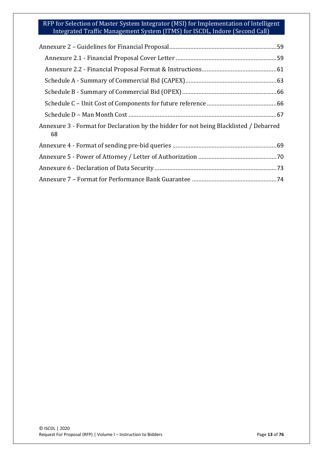| Annexure 3 - Format for Declaration by the bidder for not being Blacklisted / Debarred<br>68 |
|----------------------------------------------------------------------------------------------|
|                                                                                              |
|                                                                                              |
|                                                                                              |
|                                                                                              |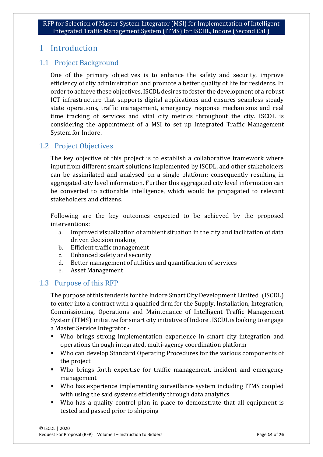## <span id="page-13-0"></span>1 Introduction

## <span id="page-13-1"></span>1.1 Project Background

One of the primary objectives is to enhance the safety and security, improve efficiency of city administration and promote a better quality of life for residents. In order to achieve these objectives, ISCDL desires to foster the development of a robust ICT infrastructure that supports digital applications and ensures seamless steady state operations, traffic management, emergency response mechanisms and real time tracking of services and vital city metrics throughout the city. ISCDL is considering the appointment of a MSI to set up Integrated Traffic Management System for Indore.

## <span id="page-13-2"></span>1.2 Project Objectives

The key objective of this project is to establish a collaborative framework where input from different smart solutions implemented by ISCDL, and other stakeholders can be assimilated and analysed on a single platform; consequently resulting in aggregated city level information. Further this aggregated city level information can be converted to actionable intelligence, which would be propagated to relevant stakeholders and citizens.

Following are the key outcomes expected to be achieved by the proposed interventions:

- a. Improved visualization of ambient situation in the city and facilitation of data driven decision making
- b. Efficient traffic management
- c. Enhanced safety and security
- d. Better management of utilities and quantification of services
- Asset Management

## <span id="page-13-3"></span>1.3 Purpose of this RFP

The purpose of this tender is for the Indore Smart City Development Limited (ISCDL) to enter into a contract with a qualified firm for the Supply, Installation, Integration, Commissioning, Operations and Maintenance of Intelligent Traffic Management System (ITMS) initiative for smart city initiative of Indore . ISCDL is looking to engage a Master Service Integrator -

- Who brings strong implementation experience in smart city integration and operations through integrated, multi-agency coordination platform
- Who can develop Standard Operating Procedures for the various components of the project
- Who brings forth expertise for traffic management, incident and emergency management
- Who has experience implementing surveillance system including ITMS coupled with using the said systems efficiently through data analytics
- Who has a quality control plan in place to demonstrate that all equipment is tested and passed prior to shipping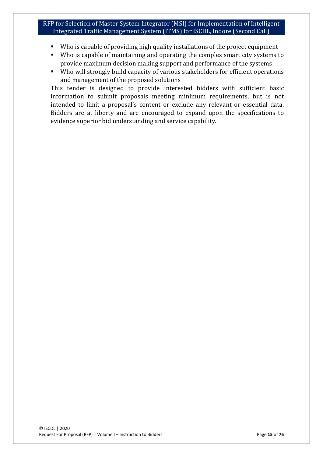- Who is capable of providing high quality installations of the project equipment
- Who is capable of maintaining and operating the complex smart city systems to provide maximum decision making support and performance of the systems
- Who will strongly build capacity of various stakeholders for efficient operations and management of the proposed solutions

This tender is designed to provide interested bidders with sufficient basic information to submit proposals meeting minimum requirements, but is not intended to limit a proposal's content or exclude any relevant or essential data. Bidders are at liberty and are encouraged to expand upon the specifications to evidence superior bid understanding and service capability.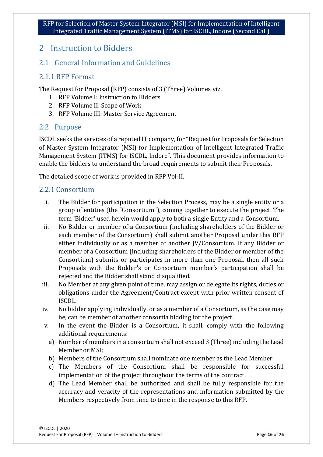## <span id="page-15-0"></span>2 Instruction to Bidders

## <span id="page-15-1"></span>2.1 General Information and Guidelines

## <span id="page-15-2"></span>2.1.1 RFP Format

The Request for Proposal (RFP) consists of 3 (Three) Volumes viz.

- 1. RFP Volume I: Instruction to Bidders
- 2. RFP Volume II: Scope of Work
- 3. RFP Volume III: Master Service Agreement

#### <span id="page-15-3"></span>2.2 Purpose

ISCDL seeks the services of a reputed IT company, for "Request for Proposals for Selection of Master System Integrator (MSI) for Implementation of Intelligent Integrated Traffic Management System (ITMS) for ISCDL, Indore". This document provides information to enable the bidders to understand the broad requirements to submit their Proposals.

The detailed scope of work is provided in RFP Vol-II.

## <span id="page-15-4"></span>2.2.1 Consortium

- i. The Bidder for participation in the Selection Process, may be a single entity or a group of entities (the "Consortium"), coming together to execute the project. The term 'Bidder' used herein would apply to both a single Entity and a Consortium.
- ii. No Bidder or member of a Consortium (including shareholders of the Bidder or each member of the Consortium) shall submit another Proposal under this RFP either individually or as a member of another JV/Consortium. If any Bidder or member of a Consortium (including shareholders of the Bidder or member of the Consortium) submits or participates in more than one Proposal, then all such Proposals with the Bidder's or Consortium member's participation shall be rejected and the Bidder shall stand disqualified.
- iii. No Member at any given point of time, may assign or delegate its rights, duties or obligations under the Agreement/Contract except with prior written consent of ISCDL.
- iv. No bidder applying individually, or as a member of a Consortium, as the case may be, can be member of another consortia bidding for the project.
- v. In the event the Bidder is a Consortium, it shall, comply with the following additional requirements:
	- a) Number of members in a consortium shall not exceed 3 (Three) including the Lead Member or MSI;
	- b) Members of the Consortium shall nominate one member as the Lead Member
	- c) The Members of the Consortium shall be responsible for successful implementation of the project throughout the terms of the contract.
	- d) The Lead Member shall be authorized and shall be fully responsible for the accuracy and veracity of the representations and information submitted by the Members respectively from time to time in the response to this RFP.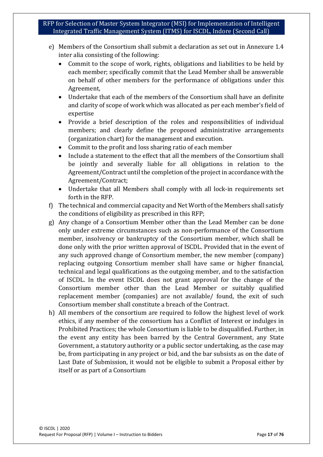- e) Members of the Consortium shall submit a declaration as set out in Annexure 1.4 inter alia consisting of the following:
	- Commit to the scope of work, rights, obligations and liabilities to be held by each member; specifically commit that the Lead Member shall be answerable on behalf of other members for the performance of obligations under this Agreement,
	- Undertake that each of the members of the Consortium shall have an definite and clarity of scope of work which was allocated as per each member's field of expertise
	- Provide a brief description of the roles and responsibilities of individual members; and clearly define the proposed administrative arrangements (organization chart) for the management and execution.
	- Commit to the profit and loss sharing ratio of each member
	- Include a statement to the effect that all the members of the Consortium shall be jointly and severally liable for all obligations in relation to the Agreement/Contract until the completion of the project in accordance with the Agreement/Contract;
	- Undertake that all Members shall comply with all lock-in requirements set forth in the RFP.
- f) The technical and commercial capacity and Net Worth of the Members shall satisfy the conditions of eligibility as prescribed in this RFP;
- g) Any change of a Consortium Member other than the Lead Member can be done only under extreme circumstances such as non-performance of the Consortium member, insolvency or bankruptcy of the Consortium member, which shall be done only with the prior written approval of ISCDL. Provided that in the event of any such approved change of Consortium member, the new member (company) replacing outgoing Consortium member shall have same or higher financial, technical and legal qualifications as the outgoing member, and to the satisfaction of ISCDL. In the event ISCDL does not grant approval for the change of the Consortium member other than the Lead Member or suitably qualified replacement member (companies) are not available/ found, the exit of such Consortium member shall constitute a breach of the Contract.
- h) All members of the consortium are required to follow the highest level of work ethics, if any member of the consortium has a Conflict of Interest or indulges in Prohibited Practices; the whole Consortium is liable to be disqualified. Further, in the event any entity has been barred by the Central Government, any State Government, a statutory authority or a public sector undertaking, as the case may be, from participating in any project or bid, and the bar subsists as on the date of Last Date of Submission, it would not be eligible to submit a Proposal either by itself or as part of a Consortium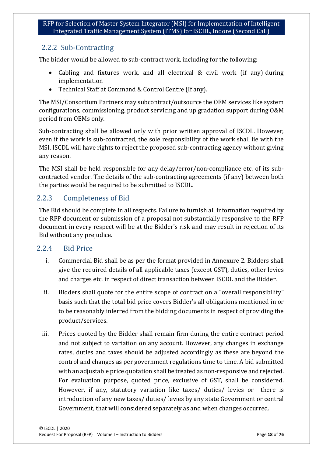## <span id="page-17-0"></span>2.2.2 Sub-Contracting

The bidder would be allowed to sub-contract work, including for the following:

- Cabling and fixtures work, and all electrical & civil work (if any) during implementation
- Technical Staff at Command & Control Centre (If any).

The MSI/Consortium Partners may subcontract/outsource the OEM services like system configurations, commissioning, product servicing and up gradation support during O&M period from OEMs only.

Sub-contracting shall be allowed only with prior written approval of ISCDL. However, even if the work is sub-contracted, the sole responsibility of the work shall lie with the MSI. ISCDL will have rights to reject the proposed sub-contracting agency without giving any reason.

The MSI shall be held responsible for any delay/error/non-compliance etc. of its subcontracted vendor. The details of the sub-contracting agreements (if any) between both the parties would be required to be submitted to ISCDL.

## <span id="page-17-1"></span>2.2.3 Completeness of Bid

The Bid should be complete in all respects. Failure to furnish all information required by the RFP document or submission of a proposal not substantially responsive to the RFP document in every respect will be at the Bidder's risk and may result in rejection of its Bid without any prejudice.

## <span id="page-17-2"></span>2.2.4 Bid Price

- i. Commercial Bid shall be as per the format provided in Annexure 2. Bidders shall give the required details of all applicable taxes (except GST), duties, other levies and charges etc. in respect of direct transaction between ISCDL and the Bidder.
- ii. Bidders shall quote for the entire scope of contract on a "overall responsibility" basis such that the total bid price covers Bidder's all obligations mentioned in or to be reasonably inferred from the bidding documents in respect of providing the product/services.
- iii. Prices quoted by the Bidder shall remain firm during the entire contract period and not subject to variation on any account. However, any changes in exchange rates, duties and taxes should be adjusted accordingly as these are beyond the control and changes as per government regulations time to time. A bid submitted with an adjustable price quotation shall be treated as non-responsive and rejected. For evaluation purpose, quoted price, exclusive of GST, shall be considered. However, if any, statutory variation like taxes/ duties/ levies or there is introduction of any new taxes/ duties/ levies by any state Government or central Government, that will considered separately as and when changes occurred.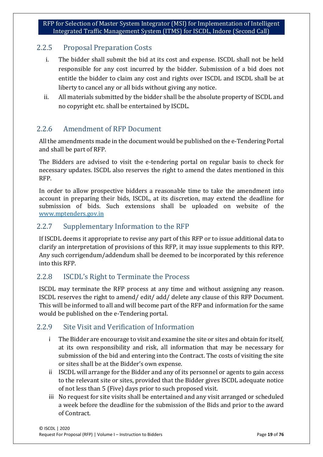## <span id="page-18-0"></span>2.2.5 Proposal Preparation Costs

- i. The bidder shall submit the bid at its cost and expense. ISCDL shall not be held responsible for any cost incurred by the bidder. Submission of a bid does not entitle the bidder to claim any cost and rights over ISCDL and ISCDL shall be at liberty to cancel any or all bids without giving any notice.
- ii. All materials submitted by the bidder shall be the absolute property of ISCDL and no copyright etc. shall be entertained by ISCDL.

## <span id="page-18-1"></span>2.2.6 Amendment of RFP Document

All the amendments made in the document would be published on the e-Tendering Portal and shall be part of RFP.

The Bidders are advised to visit the e-tendering portal on regular basis to check for necessary updates. ISCDL also reserves the right to amend the dates mentioned in this RFP.

In order to allow prospective bidders a reasonable time to take the amendment into account in preparing their bids, ISCDL, at its discretion, may extend the deadline for submission of bids. Such extensions shall be uploaded on website of the www.mptenders.gov.in

## <span id="page-18-2"></span>2.2.7 Supplementary Information to the RFP

If ISCDL deems it appropriate to revise any part of this RFP or to issue additional data to clarify an interpretation of provisions of this RFP, it may issue supplements to this RFP. Any such corrigendum/addendum shall be deemed to be incorporated by this reference into this RFP.

## <span id="page-18-3"></span>2.2.8 ISCDL's Right to Terminate the Process

ISCDL may terminate the RFP process at any time and without assigning any reason. ISCDL reserves the right to amend/ edit/ add/ delete any clause of this RFP Document. This will be informed to all and will become part of the RFP and information for the same would be published on the e-Tendering portal.

## <span id="page-18-4"></span>2.2.9 Site Visit and Verification of Information

- i The Bidder are encourage to visit and examine the site or sites and obtain for itself, at its own responsibility and risk, all information that may be necessary for submission of the bid and entering into the Contract. The costs of visiting the site or sites shall be at the Bidder's own expense.
- ii ISCDL will arrange for the Bidder and any of its personnel or agents to gain access to the relevant site or sites, provided that the Bidder gives ISCDL adequate notice of not less than 5 (Five) days prior to such proposed visit.
- iii No request for site visits shall be entertained and any visit arranged or scheduled a week before the deadline for the submission of the Bids and prior to the award of Contract.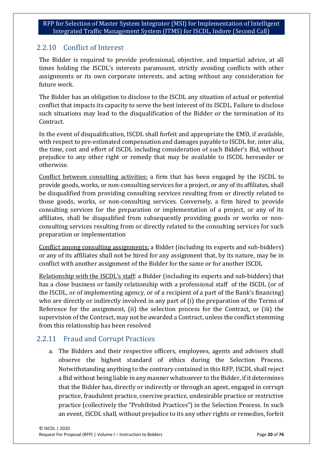## <span id="page-19-0"></span>2.2.10 Conflict of Interest

The Bidder is required to provide professional, objective, and impartial advice, at all times holding the ISCDL's interests paramount, strictly avoiding conflicts with other assignments or its own corporate interests, and acting without any consideration for future work.

The Bidder has an obligation to disclose to the ISCDL any situation of actual or potential conflict that impacts its capacity to serve the best interest of its ISCDL. Failure to disclose such situations may lead to the disqualification of the Bidder or the termination of its Contract.

In the event of disqualification, ISCDL shall forfeit and appropriate the EMD, if available, with respect to pre-estimated compensation and damages payable to ISCDL for, inter alia, the time, cost and effort of ISCDL including consideration of such Bidder's Bid, without prejudice to any other right or remedy that may be available to ISCDL hereunder or otherwise.

Conflict between consulting activities: a firm that has been engaged by the ISCDL to provide goods, works, or non-consulting services for a project, or any of its affiliates, shall be disqualified from providing consulting services resulting from or directly related to those goods, works, or non-consulting services. Conversely, a firm hired to provide consulting services for the preparation or implementation of a project, or any of its affiliates, shall be disqualified from subsequently providing goods or works or nonconsulting services resulting from or directly related to the consulting services for such preparation or implementation

Conflict among consulting assignments: a Bidder (including its experts and sub-bidders) or any of its affiliates shall not be hired for any assignment that, by its nature, may be in conflict with another assignment of the Bidder for the same or for another ISCDL

Relationship with the ISCDL's staff: a Bidder (including its experts and sub-bidders) that has a close business or family relationship with a professional staff of the ISCDL (or of the ISCDL, or of implementing agency, or of a recipient of a part of the Bank's financing) who are directly or indirectly involved in any part of (i) the preparation of the Terms of Reference for the assignment, (ii) the selection process for the Contract, or (iii) the supervision of the Contract, may not be awarded a Contract, unless the conflict stemming from this relationship has been resolved

## <span id="page-19-1"></span>2.2.11 Fraud and Corrupt Practices

a. The Bidders and their respective officers, employees, agents and advisers shall observe the highest standard of ethics during the Selection Process. Notwithstanding anything to the contrary contained in this RFP, ISCDL shall reject a Bid without being liable in any manner whatsoever to the Bidder, if it determines that the Bidder has, directly or indirectly or through an agent, engaged in corrupt practice, fraudulent practice, coercive practice, undesirable practice or restrictive practice (collectively the "Prohibited Practices") in the Selection Process. In such an event, ISCDL shall, without prejudice to its any other rights or remedies, forfeit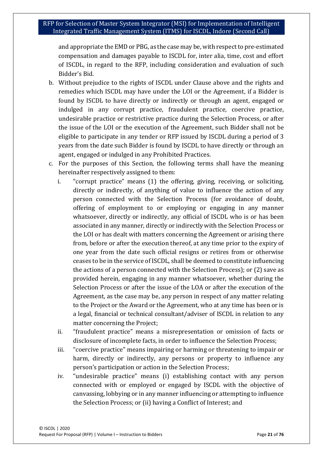and appropriate the EMD or PBG, as the case may be, with respect to pre-estimated compensation and damages payable to ISCDL for, inter alia, time, cost and effort of ISCDL, in regard to the RFP, including consideration and evaluation of such Bidder's Bid.

- b. Without prejudice to the rights of ISCDL under Clause above and the rights and remedies which ISCDL may have under the LOI or the Agreement, if a Bidder is found by ISCDL to have directly or indirectly or through an agent, engaged or indulged in any corrupt practice, fraudulent practice, coercive practice, undesirable practice or restrictive practice during the Selection Process, or after the issue of the LOI or the execution of the Agreement, such Bidder shall not be eligible to participate in any tender or RFP issued by ISCDL during a period of 3 years from the date such Bidder is found by ISCDL to have directly or through an agent, engaged or indulged in any Prohibited Practices.
- c. For the purposes of this Section, the following terms shall have the meaning hereinafter respectively assigned to them:
	- i. "corrupt practice" means (1) the offering, giving, receiving, or soliciting, directly or indirectly, of anything of value to influence the action of any person connected with the Selection Process (for avoidance of doubt, offering of employment to or employing or engaging in any manner whatsoever, directly or indirectly, any official of ISCDL who is or has been associated in any manner, directly or indirectly with the Selection Process or the LOI or has dealt with matters concerning the Agreement or arising there from, before or after the execution thereof, at any time prior to the expiry of one year from the date such official resigns or retires from or otherwise ceases to be in the service of ISCDL, shall be deemed to constitute influencing the actions of a person connected with the Selection Process); or (2) save as provided herein, engaging in any manner whatsoever, whether during the Selection Process or after the issue of the LOA or after the execution of the Agreement, as the case may be, any person in respect of any matter relating to the Project or the Award or the Agreement, who at any time has been or is a legal, financial or technical consultant/adviser of ISCDL in relation to any matter concerning the Project;
	- ii. "fraudulent practice" means a misrepresentation or omission of facts or disclosure of incomplete facts, in order to influence the Selection Process;
	- iii. "coercive practice" means impairing or harming or threatening to impair or harm, directly or indirectly, any persons or property to influence any person's participation or action in the Selection Process;
	- iv. "undesirable practice" means (i) establishing contact with any person connected with or employed or engaged by ISCDL with the objective of canvassing, lobbying or in any manner influencing or attempting to influence the Selection Process; or (ii) having a Conflict of Interest; and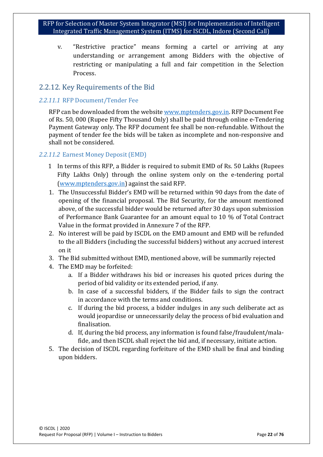v. "Restrictive practice" means forming a cartel or arriving at any understanding or arrangement among Bidders with the objective of restricting or manipulating a full and fair competition in the Selection Process.

## <span id="page-21-0"></span>2.2.12. Key Requirements of the Bid

#### *2.2.11.1* RFP Document/Tender Fee

RFP can be downloaded from the websit[e www.mptenders.gov.in.](http://www.mptenders.gov.in/) RFP Document Fee of Rs. 50, 000 (Rupee Fifty Thousand Only) shall be paid through online e-Tendering Payment Gateway only. The RFP document fee shall be non-refundable. Without the payment of tender fee the bids will be taken as incomplete and non-responsive and shall not be considered.

#### *2.2.11.2* Earnest Money Deposit (EMD)

- 1 In terms of this RFP, a Bidder is required to submit EMD of Rs. 50 Lakhs (Rupees Fifty Lakhs Only) through the online system only on the e-tendering portal [\(www.mptenders.gov.in\)](http://www.mptenders.gov.in/) against the said RFP.
- 1. The Unsuccessful Bidder's EMD will be returned within 90 days from the date of opening of the financial proposal. The Bid Security, for the amount mentioned above, of the successful bidder would be returned after 30 days upon submission of Performance Bank Guarantee for an amount equal to 10 % of Total Contract Value in the format provided in Annexure 7 of the RFP.
- 2. No interest will be paid by ISCDL on the EMD amount and EMD will be refunded to the all Bidders (including the successful bidders) without any accrued interest on it
- 3. The Bid submitted without EMD, mentioned above, will be summarily rejected
- 4. The EMD may be forfeited:
	- a. If a Bidder withdraws his bid or increases his quoted prices during the period of bid validity or its extended period, if any.
	- b. In case of a successful bidders, if the Bidder fails to sign the contract in accordance with the terms and conditions.
	- c. If during the bid process, a bidder indulges in any such deliberate act as would jeopardise or unnecessarily delay the process of bid evaluation and finalisation.
	- d. If, during the bid process, any information is found false/fraudulent/malafide, and then ISCDL shall reject the bid and, if necessary, initiate action.
- 5. The decision of ISCDL regarding forfeiture of the EMD shall be final and binding upon bidders.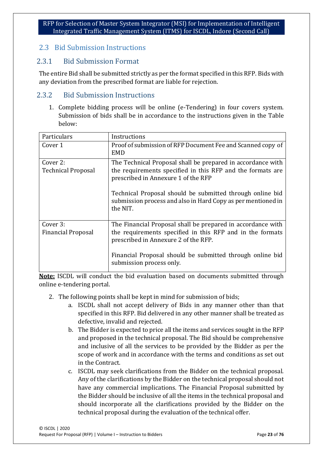## <span id="page-22-0"></span>2.3 Bid Submission Instructions

## <span id="page-22-1"></span>2.3.1 Bid Submission Format

The entire Bid shall be submitted strictly as per the format specified in this RFP. Bids with any deviation from the prescribed format are liable for rejection.

## <span id="page-22-2"></span>2.3.2 Bid Submission Instructions

1. Complete bidding process will be online (e-Tendering) in four covers system. Submission of bids shall be in accordance to the instructions given in the Table below:

| Particulars                           | Instructions                                                                                                                                                                                                                                                                                              |
|---------------------------------------|-----------------------------------------------------------------------------------------------------------------------------------------------------------------------------------------------------------------------------------------------------------------------------------------------------------|
| Cover 1                               | Proof of submission of RFP Document Fee and Scanned copy of<br><b>EMD</b>                                                                                                                                                                                                                                 |
| Cover 2:<br><b>Technical Proposal</b> | The Technical Proposal shall be prepared in accordance with<br>the requirements specified in this RFP and the formats are<br>prescribed in Annexure 1 of the RFP<br>Technical Proposal should be submitted through online bid<br>submission process and also in Hard Copy as per mentioned in<br>the NIT. |
| Cover 3:<br><b>Financial Proposal</b> | The Financial Proposal shall be prepared in accordance with<br>the requirements specified in this RFP and in the formats<br>prescribed in Annexure 2 of the RFP.<br>Financial Proposal should be submitted through online bid<br>submission process only.                                                 |

**Note:** ISCDL will conduct the bid evaluation based on documents submitted through online e-tendering portal.

- 2. The following points shall be kept in mind for submission of bids;
	- a. ISCDL shall not accept delivery of Bids in any manner other than that specified in this RFP. Bid delivered in any other manner shall be treated as defective, invalid and rejected.
	- b. The Bidder is expected to price all the items and services sought in the RFP and proposed in the technical proposal. The Bid should be comprehensive and inclusive of all the services to be provided by the Bidder as per the scope of work and in accordance with the terms and conditions as set out in the Contract.
	- c. ISCDL may seek clarifications from the Bidder on the technical proposal. Any of the clarifications by the Bidder on the technical proposal should not have any commercial implications. The Financial Proposal submitted by the Bidder should be inclusive of all the items in the technical proposal and should incorporate all the clarifications provided by the Bidder on the technical proposal during the evaluation of the technical offer.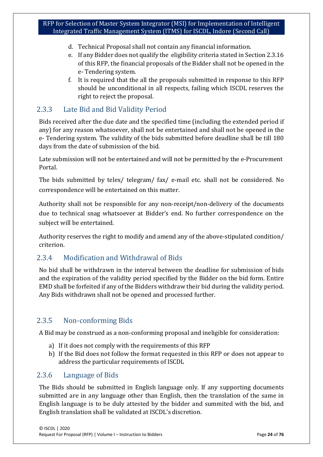- d. Technical Proposal shall not contain any financial information.
- e. If any Bidder does not qualify the eligibility criteria stated in Section 2.3.16 of this RFP, the financial proposals of the Bidder shall not be opened in the e- Tendering system.
- f. It is required that the all the proposals submitted in response to this RFP should be unconditional in all respects, failing which ISCDL reserves the right to reject the proposal.

## <span id="page-23-0"></span>2.3.3 Late Bid and Bid Validity Period

Bids received after the due date and the specified time (including the extended period if any) for any reason whatsoever, shall not be entertained and shall not be opened in the e- Tendering system. The validity of the bids submitted before deadline shall be till 180 days from the date of submission of the bid.

Late submission will not be entertained and will not be permitted by the e-Procurement Portal.

The bids submitted by telex/ telegram/ fax/ e-mail etc. shall not be considered. No correspondence will be entertained on this matter.

Authority shall not be responsible for any non-receipt/non-delivery of the documents due to technical snag whatsoever at Bidder's end. No further correspondence on the subject will be entertained.

Authority reserves the right to modify and amend any of the above-stipulated condition/ criterion.

## <span id="page-23-1"></span>2.3.4 Modification and Withdrawal of Bids

No bid shall be withdrawn in the interval between the deadline for submission of bids and the expiration of the validity period specified by the Bidder on the bid form. Entire EMD shall be forfeited if any of the Bidders withdraw their bid during the validity period. Any Bids withdrawn shall not be opened and processed further.

## <span id="page-23-2"></span>2.3.5 Non-conforming Bids

A Bid may be construed as a non-conforming proposal and ineligible for consideration:

- a) If it does not comply with the requirements of this RFP
- b) If the Bid does not follow the format requested in this RFP or does not appear to address the particular requirements of ISCDL

## <span id="page-23-3"></span>2.3.6 Language of Bids

The Bids should be submitted in English language only. If any supporting documents submitted are in any language other than English, then the translation of the same in English language is to be duly attested by the bidder and summited with the bid, and English translation shall be validated at ISCDL's discretion.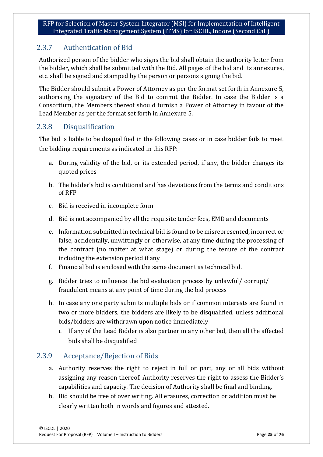## <span id="page-24-0"></span>2.3.7 Authentication of Bid

Authorized person of the bidder who signs the bid shall obtain the authority letter from the bidder, which shall be submitted with the Bid. All pages of the bid and its annexures, etc. shall be signed and stamped by the person or persons signing the bid.

The Bidder should submit a Power of Attorney as per the format set forth in Annexure 5, authorising the signatory of the Bid to commit the Bidder. In case the Bidder is a Consortium, the Members thereof should furnish a Power of Attorney in favour of the Lead Member as per the format set forth in Annexure 5.

## <span id="page-24-1"></span>2.3.8 Disqualification

The bid is liable to be disqualified in the following cases or in case bidder fails to meet the bidding requirements as indicated in this RFP:

- a. During validity of the bid, or its extended period, if any, the bidder changes its quoted prices
- b. The bidder's bid is conditional and has deviations from the terms and conditions of RFP
- c. Bid is received in incomplete form
- d. Bid is not accompanied by all the requisite tender fees, EMD and documents
- e. Information submitted in technical bid is found to be misrepresented, incorrect or false, accidentally, unwittingly or otherwise, at any time during the processing of the contract (no matter at what stage) or during the tenure of the contract including the extension period if any
- f. Financial bid is enclosed with the same document as technical bid.
- g. Bidder tries to influence the bid evaluation process by unlawful/ corrupt/ fraudulent means at any point of time during the bid process
- h. In case any one party submits multiple bids or if common interests are found in two or more bidders, the bidders are likely to be disqualified, unless additional bids/bidders are withdrawn upon notice immediately
	- i. If any of the Lead Bidder is also partner in any other bid, then all the affected bids shall be disqualified

## <span id="page-24-2"></span>2.3.9 Acceptance/Rejection of Bids

- a. Authority reserves the right to reject in full or part, any or all bids without assigning any reason thereof. Authority reserves the right to assess the Bidder's capabilities and capacity. The decision of Authority shall be final and binding.
- b. Bid should be free of over writing. All erasures, correction or addition must be clearly written both in words and figures and attested.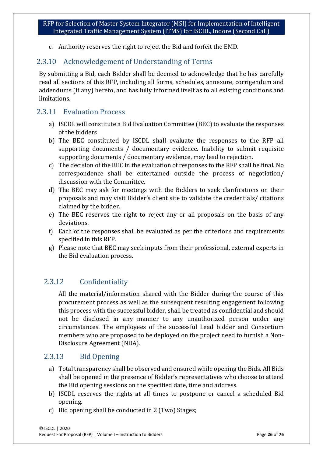c. Authority reserves the right to reject the Bid and forfeit the EMD.

## <span id="page-25-0"></span>2.3.10 Acknowledgement of Understanding of Terms

By submitting a Bid, each Bidder shall be deemed to acknowledge that he has carefully read all sections of this RFP, including all forms, schedules, annexure, corrigendum and addendums (if any) hereto, and has fully informed itself as to all existing conditions and limitations.

## <span id="page-25-1"></span>2.3.11 Evaluation Process

- a) ISCDL will constitute a Bid Evaluation Committee (BEC) to evaluate the responses of the bidders
- b) The BEC constituted by ISCDL shall evaluate the responses to the RFP all supporting documents / documentary evidence. Inability to submit requisite supporting documents / documentary evidence, may lead to rejection.
- c) The decision of the BEC in the evaluation of responses to the RFP shall be final. No correspondence shall be entertained outside the process of negotiation/ discussion with the Committee.
- d) The BEC may ask for meetings with the Bidders to seek clarifications on their proposals and may visit Bidder's client site to validate the credentials/ citations claimed by the bidder.
- e) The BEC reserves the right to reject any or all proposals on the basis of any deviations.
- f) Each of the responses shall be evaluated as per the criterions and requirements specified in this RFP.
- g) Please note that BEC may seek inputs from their professional, external experts in the Bid evaluation process.

## 2.3.12 Confidentiality

<span id="page-25-2"></span>All the material/information shared with the Bidder during the course of this procurement process as well as the subsequent resulting engagement following this process with the successful bidder, shall be treated as confidential and should not be disclosed in any manner to any unauthorized person under any circumstances. The employees of the successful Lead bidder and Consortium members who are proposed to be deployed on the project need to furnish a Non-Disclosure Agreement (NDA).

## 2.3.13 Bid Opening

- <span id="page-25-3"></span>a) Total transparency shall be observed and ensured while opening the Bids. All Bids shall be opened in the presence of Bidder's representatives who choose to attend the Bid opening sessions on the specified date, time and address.
- b) ISCDL reserves the rights at all times to postpone or cancel a scheduled Bid opening.
- c) Bid opening shall be conducted in 2 (Two) Stages;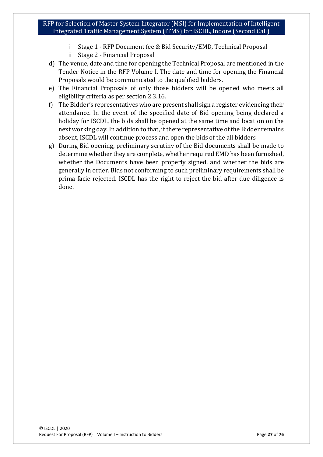- i Stage 1 RFP Document fee & Bid Security/EMD, Technical Proposal
- ii Stage 2 Financial Proposal
- d) The venue, date and time for opening the Technical Proposal are mentioned in the Tender Notice in the RFP Volume I. The date and time for opening the Financial Proposals would be communicated to the qualified bidders.
- e) The Financial Proposals of only those bidders will be opened who meets all eligibility criteria as per section 2.3.16.
- f) The Bidder's representatives who are present shall sign a register evidencing their attendance. In the event of the specified date of Bid opening being declared a holiday for ISCDL, the bids shall be opened at the same time and location on the next working day. In addition to that, if there representative of the Bidder remains absent, ISCDL will continue process and open the bids of the all bidders
- g) During Bid opening, preliminary scrutiny of the Bid documents shall be made to determine whether they are complete, whether required EMD has been furnished, whether the Documents have been properly signed, and whether the bids are generally in order. Bids not conforming to such preliminary requirements shall be prima facie rejected. ISCDL has the right to reject the bid after due diligence is done.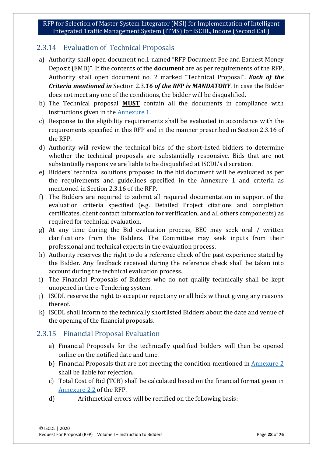## <span id="page-27-0"></span>2.3.14 Evaluation of Technical Proposals

- a) Authority shall open document no.1 named "RFP Document Fee and Earnest Money Deposit (EMD)". If the contents of the **document** are as per requirements of the RFP, Authority shall open document no. 2 marked "Technical Proposal". *Each of the Criteria mentioned in* Section 2.3.*16 of the RFP is MANDATORY*. In case the Bidder does not meet any one of the conditions, the bidder will be disqualified.
- b) The Technical proposal **MUST** contain all the documents in compliance with instructions given in the Annexure 1.
- c) Response to the eligibility requirements shall be evaluated in accordance with the requirements specified in this RFP and in the manner prescribed in Section 2.3.16 of the RFP.
- d) Authority will review the technical bids of the short-listed bidders to determine whether the technical proposals are substantially responsive. Bids that are not substantially responsive are liable to be disqualified at ISCDL's discretion.
- e) Bidders' technical solutions proposed in the bid document will be evaluated as per the requirements and guidelines specified in the Annexure 1 and criteria as mentioned in Section 2.3.16 of the RFP.
- f) The Bidders are required to submit all required documentation in support of the evaluation criteria specified (e.g. Detailed Project citations and completion certificates, client contact information for verification, and all others components) as required for technical evaluation.
- g) At any time during the Bid evaluation process, BEC may seek oral / written clarifications from the Bidders. The Committee may seek inputs from their professional and technical experts in the evaluation process.
- h) Authority reserves the right to do a reference check of the past experience stated by the Bidder. Any feedback received during the reference check shall be taken into account during the technical evaluation process.
- i) The Financial Proposals of Bidders who do not qualify technically shall be kept unopened in the e-Tendering system.
- j) ISCDL reserve the right to accept or reject any or all bids without giving any reasons thereof.
- k) ISCDL shall inform to the technically shortlisted Bidders about the date and venue of the opening of the financial proposals.

## <span id="page-27-1"></span>2.3.15 Financial Proposal Evaluation

- a) Financial Proposals for the technically qualified bidders will then be opened online on the notified date and time.
- b) Financial Proposals that are not meeting the condition mentioned in Annexure 2 shall be liable for rejection.
- c) Total Cost of Bid (TCB) shall be calculated based on the financial format given in Annexure 2.2 of the RFP.
- d) Arithmetical errors will be rectified on the following basis: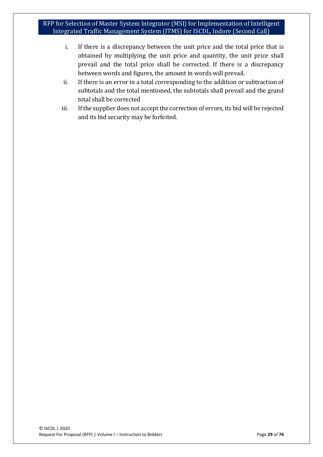- i. If there is a discrepancy between the unit price and the total price that is obtained by multiplying the unit price and quantity, the unit price shall prevail and the total price shall be corrected. If there is a discrepancy between words and figures, the amount in words will prevail.
- ii. If there is an error in a total corresponding to the addition or subtraction of subtotals and the total mentioned, the subtotals shall prevail and the grand total shall be corrected
- iii. If the supplier does not accept the correction of errors, its bid will be rejected and its bid security may be forfeited.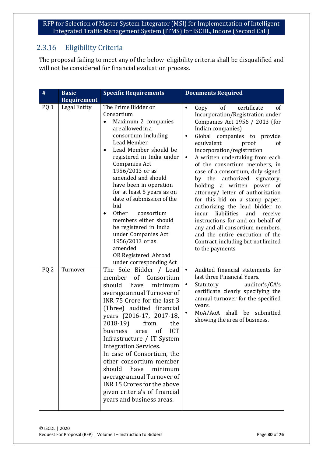## <span id="page-29-0"></span>2.3.16 Eligibility Criteria

The proposal failing to meet any of the below eligibility criteria shall be disqualified and will not be considered for financial evaluation process.

| $\#$                               | <b>Basic</b>             | <b>Specific Requirements</b>                                                                                                                                                                                                                                                                                                                                                                                                                                                                                                                       | <b>Documents Required</b>                                                                                                                                                                                                                                                                                                                                                                                                                                                                                                                                                                                                                                                                                                                                                                                                     |
|------------------------------------|--------------------------|----------------------------------------------------------------------------------------------------------------------------------------------------------------------------------------------------------------------------------------------------------------------------------------------------------------------------------------------------------------------------------------------------------------------------------------------------------------------------------------------------------------------------------------------------|-------------------------------------------------------------------------------------------------------------------------------------------------------------------------------------------------------------------------------------------------------------------------------------------------------------------------------------------------------------------------------------------------------------------------------------------------------------------------------------------------------------------------------------------------------------------------------------------------------------------------------------------------------------------------------------------------------------------------------------------------------------------------------------------------------------------------------|
|                                    | <b>Requirement</b>       |                                                                                                                                                                                                                                                                                                                                                                                                                                                                                                                                                    |                                                                                                                                                                                                                                                                                                                                                                                                                                                                                                                                                                                                                                                                                                                                                                                                                               |
| PQ <sub>1</sub><br>PQ <sub>2</sub> | Legal Entity<br>Turnover | The Prime Bidder or<br>Consortium<br>Maximum 2 companies<br>are allowed in a<br>consortium including<br>Lead Member<br>Lead Member should be<br>registered in India under<br>Companies Act<br>1956/2013 or as<br>amended and should<br>have been in operation<br>for at least 5 years as on<br>date of submission of the<br>bid<br><b>Other</b><br>consortium<br>members either should<br>be registered in India<br>under Companies Act<br>1956/2013 or as<br>amended<br>OR Registered Abroad<br>under corresponding Act<br>The Sole Bidder / Lead | $\bullet$<br>of<br>certificate<br>Copy<br><sub>of</sub><br>Incorporation/Registration under<br>Companies Act 1956 / 2013 (for<br>Indian companies)<br>Global companies to provide<br>$\bullet$<br>equivalent<br>proof<br>of<br>incorporation/registration<br>A written undertaking from each<br>$\bullet$<br>of the consortium members, in<br>case of a consortium, duly signed<br>authorized<br>by the<br>signatory,<br>holding a written power of<br>attorney/ letter of authorization<br>for this bid on a stamp paper,<br>authorizing the lead bidder to<br>liabilities<br>and<br>incur<br>receive<br>instructions for and on behalf of<br>any and all consortium members,<br>and the entire execution of the<br>Contract, including but not limited<br>to the payments.<br>Audited financial statements for<br>$\bullet$ |
|                                    |                          | of Consortium<br>member<br>should<br>minimum<br>have<br>average annual Turnover of<br>INR 75 Crore for the last 3<br>(Three) audited financial<br>years (2016-17, 2017-18,<br>2018-19)<br>from<br>the<br>business area of ICT<br>Infrastructure / IT System<br><b>Integration Services.</b><br>In case of Consortium, the<br>other consortium member<br>should<br>have<br>minimum<br>average annual Turnover of<br>INR 15 Crores for the above<br>given criteria's of financial<br>years and business areas.                                       | last three Financial Years.<br>Statutory<br>auditor's/CA's<br>$\bullet$<br>certificate clearly specifying the<br>annual turnover for the specified<br>years.<br>MoA/AoA shall be submitted<br>showing the area of business.                                                                                                                                                                                                                                                                                                                                                                                                                                                                                                                                                                                                   |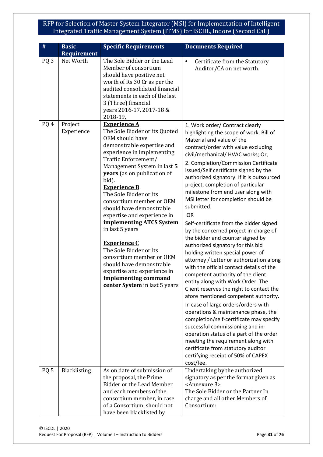| #               | <b>Basic</b><br><b>Requirement</b> | <b>Specific Requirements</b>                                                                                                                                                                                                                                                                                                                                                                                                                                                                                                                                                                                               | <b>Documents Required</b>                                                                                                                                                                                                                                                                                                                                                                                                                                                                                                                                                                                                                                                                                                                                                                                                                                                                                                                                                                                                                                                                                                                                                                                                                             |
|-----------------|------------------------------------|----------------------------------------------------------------------------------------------------------------------------------------------------------------------------------------------------------------------------------------------------------------------------------------------------------------------------------------------------------------------------------------------------------------------------------------------------------------------------------------------------------------------------------------------------------------------------------------------------------------------------|-------------------------------------------------------------------------------------------------------------------------------------------------------------------------------------------------------------------------------------------------------------------------------------------------------------------------------------------------------------------------------------------------------------------------------------------------------------------------------------------------------------------------------------------------------------------------------------------------------------------------------------------------------------------------------------------------------------------------------------------------------------------------------------------------------------------------------------------------------------------------------------------------------------------------------------------------------------------------------------------------------------------------------------------------------------------------------------------------------------------------------------------------------------------------------------------------------------------------------------------------------|
| PQ <sub>3</sub> | Net Worth                          | The Sole Bidder or the Lead<br>Member of consortium<br>should have positive net<br>worth of Rs.30 Cr as per the<br>audited consolidated financial<br>statements in each of the last<br>3 (Three) financial<br>years 2016-17, 2017-18 &<br>2018-19,                                                                                                                                                                                                                                                                                                                                                                         | Certificate from the Statutory<br>$\bullet$<br>Auditor/CA on net worth.                                                                                                                                                                                                                                                                                                                                                                                                                                                                                                                                                                                                                                                                                                                                                                                                                                                                                                                                                                                                                                                                                                                                                                               |
| PQ 4            | Project<br>Experience              | <b>Experience A</b><br>The Sole Bidder or its Quoted<br>OEM should have<br>demonstrable expertise and<br>experience in implementing<br>Traffic Enforcement/<br>Management System in last 5<br>years (as on publication of<br>bid).<br><b>Experience B</b><br>The Sole Bidder or its<br>consortium member or OEM<br>should have demonstrable<br>expertise and experience in<br>implementing ATCS System<br>in last 5 years<br><b>Experience C</b><br>The Sole Bidder or its<br>consortium member or OEM<br>should have demonstrable<br>expertise and experience in<br>implementing command<br>center System in last 5 years | 1. Work order/ Contract clearly<br>highlighting the scope of work, Bill of<br>Material and value of the<br>contract/order with value excluding<br>civil/mechanical/ HVAC works; Or,<br>2. Completion/Commission Certificate<br>issued/Self certificate signed by the<br>authorized signatory. If it is outsourced<br>project, completion of particular<br>milestone from end user along with<br>MSI letter for completion should be<br>submitted.<br>OR<br>Self-certificate from the bidder signed<br>by the concerned project in-charge of<br>the bidder and counter signed by<br>authorized signatory for this bid<br>holding written special power of<br>attorney / Letter or authorization along<br>with the official contact details of the<br>competent authority of the client<br>entity along with Work Order. The<br>Client reserves the right to contact the<br>afore mentioned competent authority.<br>In case of large orders/orders with<br>operations & maintenance phase, the<br>completion/self-certificate may specify<br>successful commissioning and in-<br>operation status of a part of the order<br>meeting the requirement along with<br>certificate from statutory auditor<br>certifying receipt of 50% of CAPEX<br>cost/fee. |
| PQ <sub>5</sub> | Blacklisting                       | As on date of submission of<br>the proposal, the Prime<br><b>Bidder or the Lead Member</b><br>and each members of the<br>consortium member, in case<br>of a Consortium, should not<br>have been blacklisted by                                                                                                                                                                                                                                                                                                                                                                                                             | Undertaking by the authorized<br>signatory as per the format given as<br><annexure 3=""><br/>The Sole Bidder or the Partner In<br/>charge and all other Members of<br/>Consortium:</annexure>                                                                                                                                                                                                                                                                                                                                                                                                                                                                                                                                                                                                                                                                                                                                                                                                                                                                                                                                                                                                                                                         |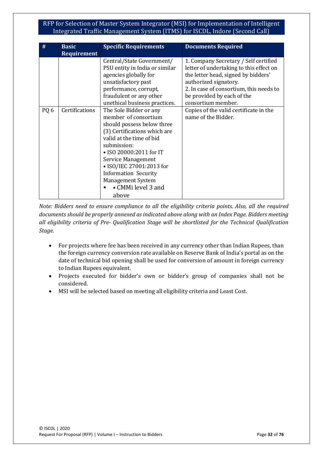| #               | <b>Basic</b><br><b>Requirement</b> | <b>Specific Requirements</b>                                                                                                                                                                                                                                                                                                                                                                                                                                                                                              | <b>Documents Required</b>                                                                                                                                                                                                                                                                                        |
|-----------------|------------------------------------|---------------------------------------------------------------------------------------------------------------------------------------------------------------------------------------------------------------------------------------------------------------------------------------------------------------------------------------------------------------------------------------------------------------------------------------------------------------------------------------------------------------------------|------------------------------------------------------------------------------------------------------------------------------------------------------------------------------------------------------------------------------------------------------------------------------------------------------------------|
| PQ <sub>6</sub> | <b>Certifications</b>              | Central/State Government/<br>PSU entity in India or similar<br>agencies globally for<br>unsatisfactory past<br>performance, corrupt,<br>fraudulent or any other<br>unethical business practices.<br>The Sole Bidder or any<br>member of consortium<br>should possess below three<br>(3) Certifications which are<br>valid at the time of bid<br>submission:<br>• ISO 20000:2011 for IT<br>Service Management<br>• ISO/IEC 27001:2013 for<br><b>Information Security</b><br><b>Management System</b><br>• CMMi level 3 and | 1. Company Secretary / Self certified<br>letter of undertaking to this effect on<br>the letter head, signed by bidders'<br>authorized signatory.<br>2. In case of consortium, this needs to<br>be provided by each of the<br>consortium member.<br>Copies of the valid certificate in the<br>name of the Bidder. |
|                 |                                    | above                                                                                                                                                                                                                                                                                                                                                                                                                                                                                                                     |                                                                                                                                                                                                                                                                                                                  |

*Note: Bidders need to ensure compliance to all the eligibility criteria points. Also, all the required documents should be properly annexed as indicated above along with an Index Page. Bidders meeting all eligibility criteria of Pre- Qualification Stage will be shortlisted for the Technical Qualification Stage.*

- For projects where fee has been received in any currency other than Indian Rupees, than the foreign currency conversion rate available on Reserve Bank of India's portal as on the date of technical bid opening shall be used for conversion of amount in foreign currency to Indian Rupees equivalent.
- Projects executed for bidder's own or bidder's group of companies shall not be considered.
- MSI will be selected based on meeting all eligibility criteria and Least Cost.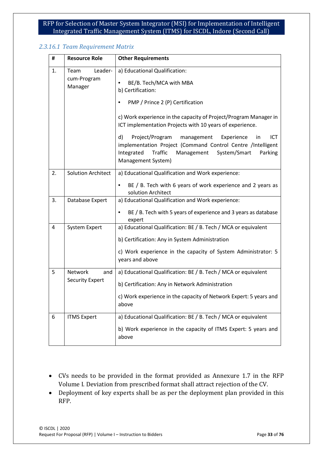#### *2.3.16.1 Team Requirement Matrix*

| #  | <b>Resource Role</b>                                                                                                                                                                                                                                                                                                                                                                                                                                                                                          | <b>Other Requirements</b>                                                                                                                                                                            |  |
|----|---------------------------------------------------------------------------------------------------------------------------------------------------------------------------------------------------------------------------------------------------------------------------------------------------------------------------------------------------------------------------------------------------------------------------------------------------------------------------------------------------------------|------------------------------------------------------------------------------------------------------------------------------------------------------------------------------------------------------|--|
| 1. | Team<br>Leader-<br>a) Educational Qualification:<br>cum-Program<br>BE/B. Tech/MCA with MBA<br>Manager<br>b) Certification:<br>PMP / Prince 2 (P) Certification<br>c) Work experience in the capacity of Project/Program Manager in<br>ICT implementation Projects with 10 years of experience.<br>Project/Program management<br>d)<br>Experience<br>in<br>implementation Project (Command Control Centre /Intelligent<br>Traffic<br>System/Smart<br>Integrated<br>Management<br>Parking<br>Management System) |                                                                                                                                                                                                      |  |
| 2. | <b>Solution Architect</b>                                                                                                                                                                                                                                                                                                                                                                                                                                                                                     | a) Educational Qualification and Work experience:<br>BE / B. Tech with 6 years of work experience and 2 years as<br>$\bullet$<br>solution Architect                                                  |  |
| 3. | Database Expert                                                                                                                                                                                                                                                                                                                                                                                                                                                                                               | a) Educational Qualification and Work experience:<br>BE / B. Tech with 5 years of experience and 3 years as database<br>expert                                                                       |  |
| 4  | <b>System Expert</b>                                                                                                                                                                                                                                                                                                                                                                                                                                                                                          | a) Educational Qualification: BE / B. Tech / MCA or equivalent<br>b) Certification: Any in System Administration<br>c) Work experience in the capacity of System Administrator: 5<br>years and above |  |
| 5  | <b>Network</b><br>and<br><b>Security Expert</b>                                                                                                                                                                                                                                                                                                                                                                                                                                                               | a) Educational Qualification: BE / B. Tech / MCA or equivalent<br>b) Certification: Any in Network Administration<br>c) Work experience in the capacity of Network Expert: 5 years and<br>above      |  |
| 6  | <b>ITMS Expert</b>                                                                                                                                                                                                                                                                                                                                                                                                                                                                                            | a) Educational Qualification: BE / B. Tech / MCA or equivalent<br>b) Work experience in the capacity of ITMS Expert: 5 years and<br>above                                                            |  |

- CVs needs to be provided in the format provided as Annexure 1.7 in the RFP Volume I. Deviation from prescribed format shall attract rejection of the CV.
- Deployment of key experts shall be as per the deployment plan provided in this RFP.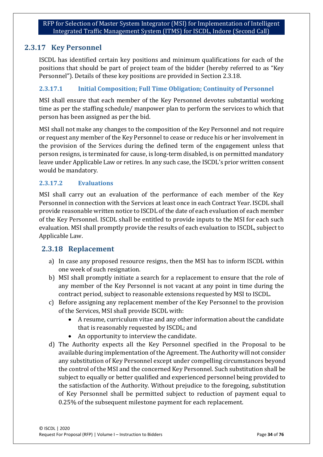## <span id="page-33-0"></span>**2.3.17 Key Personnel**

ISCDL has identified certain key positions and minimum qualifications for each of the positions that should be part of project team of the bidder (hereby referred to as "Key Personnel"). Details of these key positions are provided in Section 2.3.18.

#### **2.3.17.1 Initial Composition; Full Time Obligation; Continuity of Personnel**

MSI shall ensure that each member of the Key Personnel devotes substantial working time as per the staffing schedule/ manpower plan to perform the services to which that person has been assigned as per the bid.

MSI shall not make any changes to the composition of the Key Personnel and not require or request any member of the Key Personnel to cease or reduce his or her involvement in the provision of the Services during the defined term of the engagement unless that person resigns, is terminated for cause, is long-term disabled, is on permitted mandatory leave under Applicable Law or retires. In any such case, the ISCDL's prior written consent would be mandatory.

#### **2.3.17.2 Evaluations**

MSI shall carry out an evaluation of the performance of each member of the Key Personnel in connection with the Services at least once in each Contract Year. ISCDL shall provide reasonable written notice to ISCDL of the date of each evaluation of each member of the Key Personnel. ISCDL shall be entitled to provide inputs to the MSI for each such evaluation. MSI shall promptly provide the results of each evaluation to ISCDL, subject to Applicable Law.

## <span id="page-33-1"></span>**2.3.18 Replacement**

- a) In case any proposed resource resigns, then the MSI has to inform ISCDL within one week of such resignation.
- b) MSI shall promptly initiate a search for a replacement to ensure that the role of any member of the Key Personnel is not vacant at any point in time during the contract period, subject to reasonable extensions requested by MSI to ISCDL.
- c) Before assigning any replacement member of the Key Personnel to the provision of the Services, MSI shall provide ISCDL with:
	- A resume, curriculum vitae and any other information about the candidate that is reasonably requested by ISCDL; and
	- An opportunity to interview the candidate.
- d) The Authority expects all the Key Personnel specified in the Proposal to be available during implementation of the Agreement. The Authority will not consider any substitution of Key Personnel except under compelling circumstances beyond the control of the MSI and the concerned Key Personnel. Such substitution shall be subject to equally or better qualified and experienced personnel being provided to the satisfaction of the Authority. Without prejudice to the foregoing, substitution of Key Personnel shall be permitted subject to reduction of payment equal to 0.25% of the subsequent milestone payment for each replacement.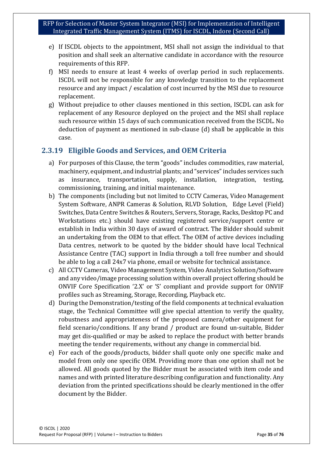- e) If ISCDL objects to the appointment, MSI shall not assign the individual to that position and shall seek an alternative candidate in accordance with the resource requirements of this RFP.
- f) MSI needs to ensure at least 4 weeks of overlap period in such replacements. ISCDL will not be responsible for any knowledge transition to the replacement resource and any impact / escalation of cost incurred by the MSI due to resource replacement.
- g) Without prejudice to other clauses mentioned in this section, ISCDL can ask for replacement of any Resource deployed on the project and the MSI shall replace such resource within 15 days of such communication received from the ISCDL. No deduction of payment as mentioned in sub-clause (d) shall be applicable in this case.

## <span id="page-34-0"></span>**2.3.19 Eligible Goods and Services, and OEM Criteria**

- a) For purposes of this Clause, the term "goods" includes commodities, raw material, machinery, equipment, and industrial plants; and "services" includes services such as insurance, transportation, supply, installation, integration, testing, commissioning, training, and initial maintenance.
- b) The components (including but not limited to CCTV Cameras, Video Management System Software, ANPR Cameras & Solution, RLVD Solution, Edge Level (Field) Switches, Data Centre Switches & Routers, Servers, Storage, Racks, Desktop PC and Workstations etc.) should have existing registered service/support centre or establish in India within 30 days of award of contract. The Bidder should submit an undertaking from the OEM to that effect. The OEM of active devices including Data centres, network to be quoted by the bidder should have local Technical Assistance Centre (TAC) support in India through a toll free number and should be able to log a call 24x7 via phone, email or website for technical assistance.
- c) All CCTV Cameras, Video Management System, Video Analytics Solution/Software and any video/image processing solution within overall project offering should be ONVIF Core Specification '2.X' or 'S' compliant and provide support for ONVIF profiles such as Streaming, Storage, Recording, Playback etc.
- d) During the Demonstration/testing of the field components at technical evaluation stage, the Technical Committee will give special attention to verify the quality, robustness and appropriateness of the proposed camera/other equipment for field scenario/conditions. If any brand / product are found un-suitable, Bidder may get dis-qualified or may be asked to replace the product with better brands meeting the tender requirements, without any change in commercial bid.
- e) For each of the goods/products, bidder shall quote only one specific make and model from only one specific OEM. Providing more than one option shall not be allowed. All goods quoted by the Bidder must be associated with item code and names and with printed literature describing configuration and functionality. Any deviation from the printed specifications should be clearly mentioned in the offer document by the Bidder.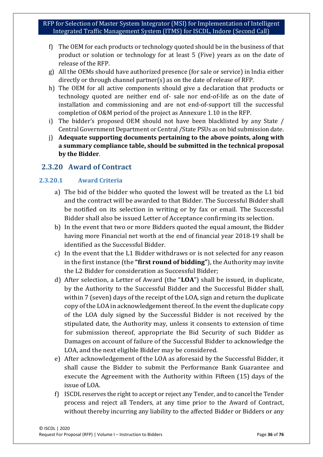- f) The OEM for each products or technology quoted should be in the business of that product or solution or technology for at least 5 (Five) years as on the date of release of the RFP.
- g) All the OEMs should have authorized presence (for sale or service) in India either directly or through channel partner(s) as on the date of release of RFP.
- h) The OEM for all active components should give a declaration that products or technology quoted are neither end of- sale nor end-of-life as on the date of installation and commissioning and are not end-of-support till the successful completion of O&M period of the project as Annexure 1.10 in the RFP.
- i) The bidder's proposed OEM should not have been blacklisted by any State / Central Government Department or Central /State PSUs as on bid submission date.
- j) **Adequate supporting documents pertaining to the above points, along with a summary compliance table, should be submitted in the technical proposal by the Bidder**.

## <span id="page-35-0"></span>**2.3.20 Award of Contract**

#### **2.3.20.1 Award Criteria**

- a) The bid of the bidder who quoted the lowest will be treated as the L1 bid and the contract will be awarded to that Bidder. The Successful Bidder shall be notified on its selection in writing or by fax or email. The Successful Bidder shall also be issued Letter of Acceptance confirming its selection.
- b) In the event that two or more Bidders quoted the equal amount, the Bidder having more Financial net worth at the end of financial year 2018-19 shall be identified as the Successful Bidder.
- c) In the event that the L1 Bidder withdraws or is not selected for any reason in the first instance (the **"first round of bidding"**), the Authority may invite the L2 Bidder for consideration as Successful Bidder;
- d) After selection, a Letter of Award (the "**LOA**") shall be issued, in duplicate, by the Authority to the Successful Bidder and the Successful Bidder shall, within 7 (seven) days of the receipt of the LOA, sign and return the duplicate copy of the LOA in acknowledgement thereof. In the event the duplicate copy of the LOA duly signed by the Successful Bidder is not received by the stipulated date, the Authority may, unless it consents to extension of time for submission thereof, appropriate the Bid Security of such Bidder as Damages on account of failure of the Successful Bidder to acknowledge the LOA, and the next eligible Bidder may be considered.
- e) After acknowledgement of the LOA as aforesaid by the Successful Bidder, it shall cause the Bidder to submit the Performance Bank Guarantee and execute the Agreement with the Authority within Fifteen (15) days of the issue of LOA.
- f) ISCDL reserves the right to accept or reject any Tender, and to cancel the Tender process and reject all Tenders, at any time prior to the Award of Contract, without thereby incurring any liability to the affected Bidder or Bidders or any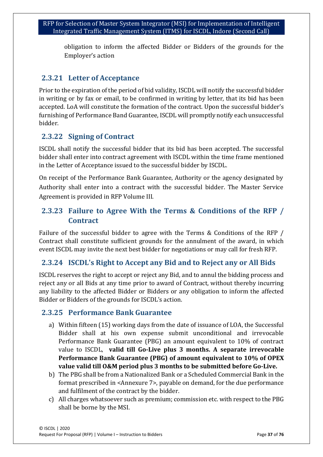obligation to inform the affected Bidder or Bidders of the grounds for the Employer's action

### **2.3.21 Letter of Acceptance**

Prior to the expiration of the period of bid validity, ISCDL will notify the successful bidder in writing or by fax or email, to be confirmed in writing by letter, that its bid has been accepted. LoA will constitute the formation of the contract. Upon the successful bidder's furnishing of Performance Band Guarantee, ISCDL will promptly notify each unsuccessful bidder.

# **2.3.22 Signing of Contract**

ISCDL shall notify the successful bidder that its bid has been accepted. The successful bidder shall enter into contract agreement with ISCDL within the time frame mentioned in the Letter of Acceptance issued to the successful bidder by ISCDL.

On receipt of the Performance Bank Guarantee, Authority or the agency designated by Authority shall enter into a contract with the successful bidder. The Master Service Agreement is provided in RFP Volume III.

# **2.3.23 Failure to Agree With the Terms & Conditions of the RFP / Contract**

Failure of the successful bidder to agree with the Terms & Conditions of the RFP / Contract shall constitute sufficient grounds for the annulment of the award, in which event ISCDL may invite the next best bidder for negotiations or may call for fresh RFP.

### **2.3.24 ISCDL's Right to Accept any Bid and to Reject any or All Bids**

ISCDL reserves the right to accept or reject any Bid, and to annul the bidding process and reject any or all Bids at any time prior to award of Contract, without thereby incurring any liability to the affected Bidder or Bidders or any obligation to inform the affected Bidder or Bidders of the grounds for ISCDL's action.

### **2.3.25 Performance Bank Guarantee**

- a) Within fifteen (15) working days from the date of issuance of LOA, the Successful Bidder shall at his own expense submit unconditional and irrevocable Performance Bank Guarantee (PBG) an amount equivalent to 10% of contract value to ISCDL, **valid till Go-Live plus 3 months. A separate irrevocable Performance Bank Guarantee (PBG) of amount equivalent to 10% of OPEX value valid till O&M period plus 3 months to be submitted before Go-Live.**
- b) The PBG shall be from a Nationalized Bank or a Scheduled Commercial Bank in the format prescribed in <Annexure 7>, payable on demand, for the due performance and fulfilment of the contract by the bidder.
- c) All charges whatsoever such as premium; commission etc. with respect to the PBG shall be borne by the MSI.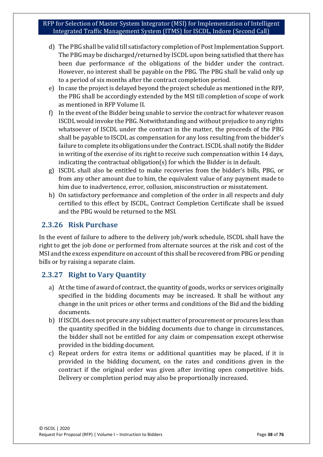- d) The PBG shall be valid till satisfactory completion of Post Implementation Support. The PBG may be discharged/returned by ISCDL upon being satisfied that there has been due performance of the obligations of the bidder under the contract. However, no interest shall be payable on the PBG. The PBG shall be valid only up to a period of six months after the contract completion period.
- e) In case the project is delayed beyond the project schedule as mentioned in the RFP, the PBG shall be accordingly extended by the MSI till completion of scope of work as mentioned in RFP Volume II.
- f) In the event of the Bidder being unable to service the contract for whatever reason ISCDL would invoke the PBG. Notwithstanding and without prejudice to any rights whatsoever of ISCDL under the contract in the matter, the proceeds of the PBG shall be payable to ISCDL as compensation for any loss resulting from the bidder's failure to complete its obligations under the Contract. ISCDL shall notify the Bidder in writing of the exercise of its right to receive such compensation within 14 days, indicating the contractual obligation(s) for which the Bidder is in default.
- g) ISCDL shall also be entitled to make recoveries from the bidder's bills, PBG, or from any other amount due to him, the equivalent value of any payment made to him due to inadvertence, error, collusion, misconstruction or misstatement.
- h) On satisfactory performance and completion of the order in all respects and duly certified to this effect by ISCDL, Contract Completion Certificate shall be issued and the PBG would be returned to the MSI.

### **2.3.26 Risk Purchase**

In the event of failure to adhere to the delivery job/work schedule, ISCDL shall have the right to get the job done or performed from alternate sources at the risk and cost of the MSI and the excess expenditure on account of this shall be recovered from PBG or pending bills or by raising a separate claim.

# **2.3.27 Right to Vary Quantity**

- a) At the time of award of contract, the quantity of goods, works or services originally specified in the bidding documents may be increased. It shall be without any change in the unit prices or other terms and conditions of the Bid and the bidding documents.
- b) If ISCDL does not procure any subject matter of procurement or procures less than the quantity specified in the bidding documents due to change in circumstances, the bidder shall not be entitled for any claim or compensation except otherwise provided in the bidding document.
- c) Repeat orders for extra items or additional quantities may be placed, if it is provided in the bidding document, on the rates and conditions given in the contract if the original order was given after inviting open competitive bids. Delivery or completion period may also be proportionally increased.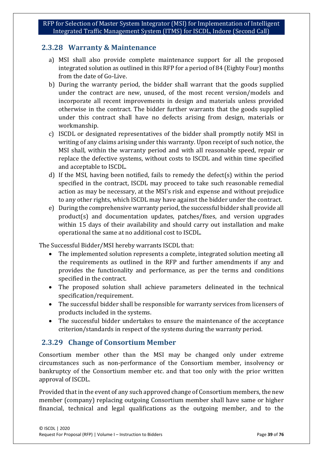### **2.3.28 Warranty & Maintenance**

- a) MSI shall also provide complete maintenance support for all the proposed integrated solution as outlined in this RFP for a period of 84 (Eighty Four) months from the date of Go-Live.
- b) During the warranty period, the bidder shall warrant that the goods supplied under the contract are new, unused, of the most recent version/models and incorporate all recent improvements in design and materials unless provided otherwise in the contract. The bidder further warrants that the goods supplied under this contract shall have no defects arising from design, materials or workmanship.
- c) ISCDL or designated representatives of the bidder shall promptly notify MSI in writing of any claims arising under this warranty. Upon receipt of such notice, the MSI shall, within the warranty period and with all reasonable speed, repair or replace the defective systems, without costs to ISCDL and within time specified and acceptable to ISCDL.
- d) If the MSI, having been notified, fails to remedy the defect(s) within the period specified in the contract, ISCDL may proceed to take such reasonable remedial action as may be necessary, at the MSI's risk and expense and without prejudice to any other rights, which ISCDL may have against the bidder under the contract.
- e) During the comprehensive warranty period, the successful bidder shall provide all product(s) and documentation updates, patches/fixes, and version upgrades within 15 days of their availability and should carry out installation and make operational the same at no additional cost to ISCDL.

The Successful Bidder/MSI hereby warrants ISCDL that:

- The implemented solution represents a complete, integrated solution meeting all the requirements as outlined in the RFP and further amendments if any and provides the functionality and performance, as per the terms and conditions specified in the contract.
- The proposed solution shall achieve parameters delineated in the technical specification/requirement.
- The successful bidder shall be responsible for warranty services from licensers of products included in the systems.
- The successful bidder undertakes to ensure the maintenance of the acceptance criterion/standards in respect of the systems during the warranty period.

# **2.3.29 Change of Consortium Member**

Consortium member other than the MSI may be changed only under extreme circumstances such as non-performance of the Consortium member, insolvency or bankruptcy of the Consortium member etc. and that too only with the prior written approval of ISCDL.

Provided that in the event of any such approved change of Consortium members, the new member (company) replacing outgoing Consortium member shall have same or higher financial, technical and legal qualifications as the outgoing member, and to the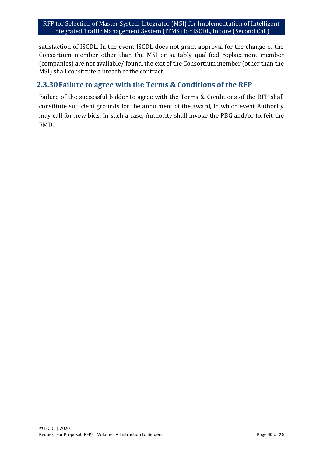satisfaction of ISCDL. In the event ISCDL does not grant approval for the change of the Consortium member other than the MSI or suitably qualified replacement member (companies) are not available/ found, the exit of the Consortium member (other than the MSI) shall constitute a breach of the contract.

### **2.3.30Failure to agree with the Terms & Conditions of the RFP**

Failure of the successful bidder to agree with the Terms & Conditions of the RFP shall constitute sufficient grounds for the annulment of the award, in which event Authority may call for new bids. In such a case, Authority shall invoke the PBG and/or forfeit the EMD.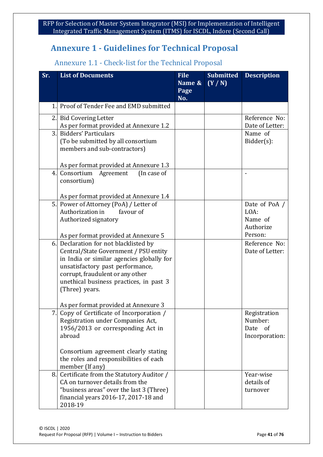# **Annexure 1 - Guidelines for Technical Proposal**

# Annexure 1.1 - Check-list for the Technical Proposal

| Sr.          | <b>List of Documents</b>                                                                                                                                                                                                                                                                                 | <b>File</b><br>Name &<br>Page<br>No. | <b>Submitted</b><br>(Y/N) | <b>Description</b>                                      |
|--------------|----------------------------------------------------------------------------------------------------------------------------------------------------------------------------------------------------------------------------------------------------------------------------------------------------------|--------------------------------------|---------------------------|---------------------------------------------------------|
| $\mathbf{1}$ | Proof of Tender Fee and EMD submitted                                                                                                                                                                                                                                                                    |                                      |                           |                                                         |
|              | 2. Bid Covering Letter<br>As per format provided at Annexure 1.2                                                                                                                                                                                                                                         |                                      |                           | Reference No:<br>Date of Letter:                        |
| 3.1          | <b>Bidders' Particulars</b><br>(To be submitted by all consortium<br>members and sub-contractors)                                                                                                                                                                                                        |                                      |                           | Name of<br>$Bidder(s)$ :                                |
| 4.           | As per format provided at Annexure 1.3<br>Consortium<br>(In case of<br>Agreement<br>consortium)                                                                                                                                                                                                          |                                      |                           |                                                         |
|              | As per format provided at Annexure 1.4                                                                                                                                                                                                                                                                   |                                      |                           |                                                         |
| 5.           | Power of Attorney (PoA) / Letter of<br>Authorization in<br>favour of<br>Authorized signatory                                                                                                                                                                                                             |                                      |                           | Date of PoA /<br>LOA:<br>Name of<br>Authorize           |
|              | As per format provided at Annexure 5                                                                                                                                                                                                                                                                     |                                      |                           | Person:                                                 |
|              | 6. Declaration for not blacklisted by<br>Central/State Government / PSU entity<br>in India or similar agencies globally for<br>unsatisfactory past performance,<br>corrupt, fraudulent or any other<br>unethical business practices, in past 3<br>(Three) years.<br>As per format provided at Annexure 3 |                                      |                           | Reference No:<br>Date of Letter:                        |
| 7.           | Copy of Certificate of Incorporation /<br>Registration under Companies Act,<br>1956/2013 or corresponding Act in<br>abroad                                                                                                                                                                               |                                      |                           | Registration<br>Number:<br>Date<br>of<br>Incorporation: |
|              | Consortium agreement clearly stating<br>the roles and responsibilities of each<br>member (If any)                                                                                                                                                                                                        |                                      |                           |                                                         |
| 8.           | Certificate from the Statutory Auditor /<br>CA on turnover details from the<br>"business areas" over the last 3 (Three)<br>financial years 2016-17, 2017-18 and<br>2018-19                                                                                                                               |                                      |                           | Year-wise<br>details of<br>turnover                     |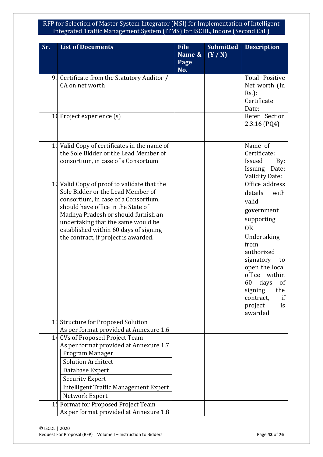| Sr.            | <b>List of Documents</b>                                                              | <b>File</b> | <b>Submitted</b> | <b>Description</b>                 |
|----------------|---------------------------------------------------------------------------------------|-------------|------------------|------------------------------------|
|                |                                                                                       | Name &      | (Y/N)            |                                    |
|                |                                                                                       | Page<br>No. |                  |                                    |
| 9.             | Certificate from the Statutory Auditor /                                              |             |                  | Total Positive                     |
|                | CA on net worth                                                                       |             |                  | Net worth (In                      |
|                |                                                                                       |             |                  | $Rs.$ ):                           |
|                |                                                                                       |             |                  | Certificate                        |
|                | 10 Project experience (s)                                                             |             |                  | Date:<br>Refer Section             |
|                |                                                                                       |             |                  | $2.3.16$ (PQ4)                     |
|                |                                                                                       |             |                  |                                    |
|                |                                                                                       |             |                  |                                    |
|                | 11 Valid Copy of certificates in the name of<br>the Sole Bidder or the Lead Member of |             |                  | Name of<br>Certificate:            |
|                | consortium, in case of a Consortium                                                   |             |                  | Issued<br>By:                      |
|                |                                                                                       |             |                  | <b>Issuing</b><br>Date:            |
|                |                                                                                       |             |                  | <b>Validity Date:</b>              |
|                | 11 Valid Copy of proof to validate that the                                           |             |                  | Office address                     |
|                | Sole Bidder or the Lead Member of                                                     |             |                  | details<br>with                    |
|                | consortium, in case of a Consortium,                                                  |             |                  | valid                              |
|                | should have office in the State of<br>Madhya Pradesh or should furnish an             |             |                  | government                         |
|                | undertaking that the same would be                                                    |             |                  | supporting                         |
|                | established within 60 days of signing                                                 |             |                  | 0 <sub>R</sub>                     |
|                | the contract, if project is awarded.                                                  |             |                  | Undertaking                        |
|                |                                                                                       |             |                  | from                               |
|                |                                                                                       |             |                  | authorized                         |
|                |                                                                                       |             |                  | signatory<br>to                    |
|                |                                                                                       |             |                  | open the local<br>office<br>within |
|                |                                                                                       |             |                  | 60<br>days<br>of                   |
|                |                                                                                       |             |                  | signing<br>the                     |
|                |                                                                                       |             |                  | contract,<br>if                    |
|                |                                                                                       |             |                  | project<br>is                      |
|                |                                                                                       |             |                  | awarded                            |
| 13             | <b>Structure for Proposed Solution</b>                                                |             |                  |                                    |
| 14             | As per format provided at Annexure 1.6<br><b>CVs of Proposed Project Team</b>         |             |                  |                                    |
|                | As per format provided at Annexure 1.7                                                |             |                  |                                    |
|                | Program Manager                                                                       |             |                  |                                    |
|                | <b>Solution Architect</b>                                                             |             |                  |                                    |
|                | Database Expert                                                                       |             |                  |                                    |
|                | <b>Security Expert</b>                                                                |             |                  |                                    |
|                | Intelligent Traffic Management Expert                                                 |             |                  |                                    |
|                | Network Expert                                                                        |             |                  |                                    |
| 1 <sub>1</sub> | Format for Proposed Project Team                                                      |             |                  |                                    |
|                | As per format provided at Annexure 1.8                                                |             |                  |                                    |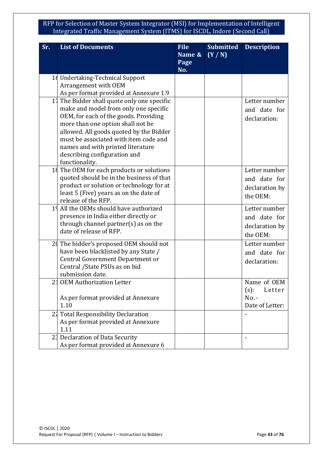| Sr.            | <b>List of Documents</b>                                        | <b>File</b><br>Name &<br>Page | <b>Submitted</b><br>(Y/N) | <b>Description</b> |
|----------------|-----------------------------------------------------------------|-------------------------------|---------------------------|--------------------|
|                |                                                                 | No.                           |                           |                    |
|                | 16 Undertaking-Technical Support                                |                               |                           |                    |
|                | Arrangement with OEM                                            |                               |                           |                    |
|                | As per format provided at Annexure 1.9                          |                               |                           |                    |
| 17             | The Bidder shall quote only one specific                        |                               |                           | Letter number      |
|                | make and model from only one specific                           |                               |                           | and date for       |
|                | OEM, for each of the goods. Providing                           |                               |                           | declaration:       |
|                | more than one option shall not be                               |                               |                           |                    |
|                | allowed. All goods quoted by the Bidder                         |                               |                           |                    |
|                | must be associated with item code and                           |                               |                           |                    |
|                | names and with printed literature                               |                               |                           |                    |
|                | describing configuration and                                    |                               |                           |                    |
|                | functionality.                                                  |                               |                           |                    |
|                | 14 The OEM for each products or solutions                       |                               |                           | Letter number      |
|                | quoted should be in the business of that                        |                               |                           | and date for       |
|                | product or solution or technology for at                        |                               |                           | declaration by     |
|                | least 5 (Five) years as on the date of                          |                               |                           | the OEM:           |
|                | release of the RFP.                                             |                               |                           |                    |
| 1 <sup>1</sup> | All the OEMs should have authorized                             |                               |                           | Letter number      |
|                | presence in India either directly or                            |                               |                           | and date for       |
|                | through channel partner(s) as on the<br>date of release of RFP. |                               |                           | declaration by     |
|                |                                                                 |                               |                           | the OEM:           |
|                | 24 The bidder's proposed OEM should not                         |                               |                           | Letter number      |
|                | have been blacklisted by any State /                            |                               |                           | and date for       |
|                | Central Government Department or                                |                               |                           | declaration:       |
|                | Central / State PSUs as on bid                                  |                               |                           |                    |
|                | submission date.                                                |                               |                           |                    |
|                | 21 OEM Authorization Letter                                     |                               |                           | Name of OEM        |
|                |                                                                 |                               |                           | $(s)$ :<br>Letter  |
|                | As per format provided at Annexure                              |                               |                           | $No. -$            |
|                | 1.10                                                            |                               |                           | Date of Letter:    |
|                | 21 Total Responsibility Declaration                             |                               |                           |                    |
|                | As per format provided at Annexure                              |                               |                           |                    |
|                | 1.11                                                            |                               |                           |                    |
|                | 21 Declaration of Data Security                                 |                               |                           |                    |
|                | As per format provided at Annexure 6                            |                               |                           |                    |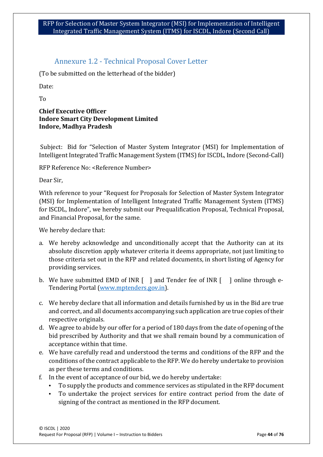### Annexure 1.2 - Technical Proposal Cover Letter

(To be submitted on the letterhead of the bidder)

Date:

To

### **Chief Executive Officer Indore Smart City Development Limited Indore, Madhya Pradesh**

Subject: Bid for "Selection of Master System Integrator (MSI) for Implementation of Intelligent Integrated Traffic Management System (ITMS) for ISCDL, Indore (Second-Call)

RFP Reference No: <Reference Number>

Dear Sir,

With reference to your "Request for Proposals for Selection of Master System Integrator (MSI) for Implementation of Intelligent Integrated Traffic Management System (ITMS) for ISCDL, Indore", we hereby submit our Prequalification Proposal, Technical Proposal, and Financial Proposal, for the same.

We hereby declare that:

- a. We hereby acknowledge and unconditionally accept that the Authority can at its absolute discretion apply whatever criteria it deems appropriate, not just limiting to those criteria set out in the RFP and related documents, in short listing of Agency for providing services.
- b. We have submitted EMD of INR [ ] and Tender fee of INR [ ] online through e-Tendering Portal [\(www.mptenders.gov.in\)](http://www.mptenders.gov.in/).
- c. We hereby declare that all information and details furnished by us in the Bid are true and correct, and all documents accompanying such application are true copies of their respective originals.
- d. We agree to abide by our offer for a period of 180 days from the date of opening of the bid prescribed by Authority and that we shall remain bound by a communication of acceptance within that time.
- e. We have carefully read and understood the terms and conditions of the RFP and the conditions of the contract applicable to the RFP. We do hereby undertake to provision as per these terms and conditions.
- f. In the event of acceptance of our bid, we do hereby undertake:
	- To supply the products and commence services as stipulated in the RFP document
	- To undertake the project services for entire contract period from the date of signing of the contract as mentioned in the RFP document.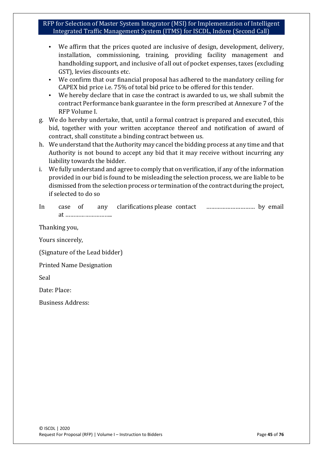- We affirm that the prices quoted are inclusive of design, development, delivery, installation, commissioning, training, providing facility management and handholding support, and inclusive of all out of pocket expenses, taxes (excluding GST), levies discounts etc.
- We confirm that our financial proposal has adhered to the mandatory ceiling for CAPEX bid price i.e. 75% of total bid price to be offered for this tender.
- We hereby declare that in case the contract is awarded to us, we shall submit the contract Performance bank guarantee in the form prescribed at Annexure 7 of the RFP Volume I.
- g. We do hereby undertake, that, until a formal contract is prepared and executed, this bid, together with your written acceptance thereof and notification of award of contract, shall constitute a binding contract between us.
- h. We understand that the Authority may cancel the bidding process at any time and that Authority is not bound to accept any bid that it may receive without incurring any liability towards the bidder.
- i. We fully understand and agree to comply that on verification, if any of the information provided in our bid is found to be misleading the selection process, we are liable to be dismissed from the selection process or termination of the contract during the project, if selected to do so

| 1n | case | any | clarifications please contact |  |
|----|------|-----|-------------------------------|--|
|    |      |     |                               |  |

Thanking you,

Yours sincerely,

(Signature of the Lead bidder)

Printed Name Designation

Seal

Date: Place:

Business Address: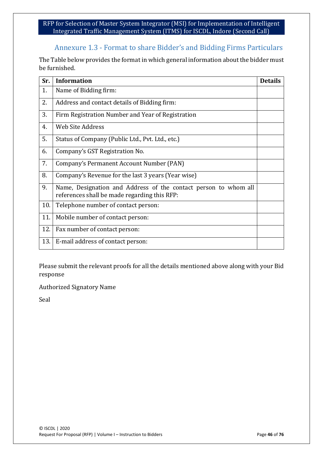# Annexure 1.3 - Format to share Bidder's and Bidding Firms Particulars

The Table below provides the format in which general information about the bidder must be furnished.

| Sr. | <b>Information</b>                                                                                              | <b>Details</b> |
|-----|-----------------------------------------------------------------------------------------------------------------|----------------|
| 1.  | Name of Bidding firm:                                                                                           |                |
| 2.  | Address and contact details of Bidding firm:                                                                    |                |
| 3.  | Firm Registration Number and Year of Registration                                                               |                |
| 4.  | <b>Web Site Address</b>                                                                                         |                |
| 5.  | Status of Company (Public Ltd., Pvt. Ltd., etc.)                                                                |                |
| 6.  | Company's GST Registration No.                                                                                  |                |
| 7.  | Company's Permanent Account Number (PAN)                                                                        |                |
| 8.  | Company's Revenue for the last 3 years (Year wise)                                                              |                |
| 9.  | Name, Designation and Address of the contact person to whom all<br>references shall be made regarding this RFP: |                |
| 10. | Telephone number of contact person:                                                                             |                |
| 11. | Mobile number of contact person:                                                                                |                |
| 12. | Fax number of contact person:                                                                                   |                |
| 13. | E-mail address of contact person:                                                                               |                |

Please submit the relevant proofs for all the details mentioned above along with your Bid response

Authorized Signatory Name

Seal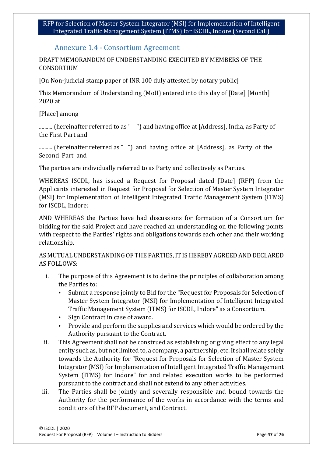### Annexure 1.4 - Consortium Agreement

DRAFT MEMORANDUM OF UNDERSTANDING EXECUTED BY MEMBERS OF THE CONSORTIUM

[On Non-judicial stamp paper of INR 100 duly attested by notary public]

This Memorandum of Understanding (MoU) entered into this day of [Date] [Month] 2020 at

[Place] among

.......... (hereinafter referred to as " ") and having office at [Address], India, as Party of the First Part and

.......... (hereinafter referred as " ") and having office at [Address], as Party of the Second Part and

The parties are individually referred to as Party and collectively as Parties.

WHEREAS ISCDL, has issued a Request for Proposal dated [Date] (RFP) from the Applicants interested in Request for Proposal for Selection of Master System Integrator (MSI) for Implementation of Intelligent Integrated Traffic Management System (ITMS) for ISCDL, Indore:

AND WHEREAS the Parties have had discussions for formation of a Consortium for bidding for the said Project and have reached an understanding on the following points with respect to the Parties' rights and obligations towards each other and their working relationship.

AS MUTUAL UNDERSTANDING OF THE PARTIES, IT IS HEREBY AGREED AND DECLARED AS FOLLOWS:

- i. The purpose of this Agreement is to define the principles of collaboration among the Parties to:
	- Submit a response jointly to Bid for the "Request for Proposals for Selection of Master System Integrator (MSI) for Implementation of Intelligent Integrated Traffic Management System (ITMS) for ISCDL, Indore" as a Consortium.
	- Sign Contract in case of award.
	- Provide and perform the supplies and services which would be ordered by the Authority pursuant to the Contract.
- ii. This Agreement shall not be construed as establishing or giving effect to any legal entity such as, but not limited to, a company, a partnership, etc. It shall relate solely towards the Authority for "Request for Proposals for Selection of Master System Integrator (MSI) for Implementation of Intelligent Integrated Traffic Management System (ITMS) for Indore" for and related execution works to be performed pursuant to the contract and shall not extend to any other activities.
- iii. The Parties shall be jointly and severally responsible and bound towards the Authority for the performance of the works in accordance with the terms and conditions of the RFP document, and Contract.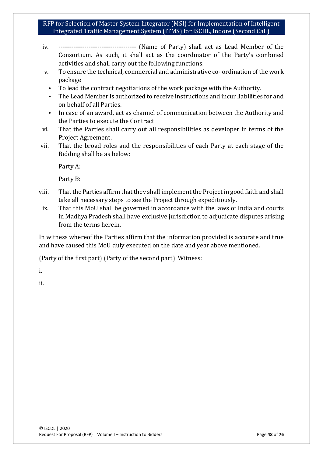- iv. ------------------------------------ (Name of Party) shall act as Lead Member of the Consortium. As such, it shall act as the coordinator of the Party's combined activities and shall carry out the following functions:
- v. To ensure the technical, commercial and administrative co- ordination of the work package
	- To lead the contract negotiations of the work package with the Authority.
	- The Lead Member is authorized to receive instructions and incur liabilities for and on behalf of all Parties.
- In case of an award, act as channel of communication between the Authority and the Parties to execute the Contract
- vi. That the Parties shall carry out all responsibilities as developer in terms of the Project Agreement.
- vii. That the broad roles and the responsibilities of each Party at each stage of the Bidding shall be as below:

Party A:

Party B:

- viii. That the Parties affirm that they shall implement the Project in good faith and shall take all necessary steps to see the Project through expeditiously.
- ix. That this MoU shall be governed in accordance with the laws of India and courts in Madhya Pradesh shall have exclusive jurisdiction to adjudicate disputes arising from the terms herein.

In witness whereof the Parties affirm that the information provided is accurate and true and have caused this MoU duly executed on the date and year above mentioned.

(Party of the first part) (Party of the second part) Witness:

i.

ii.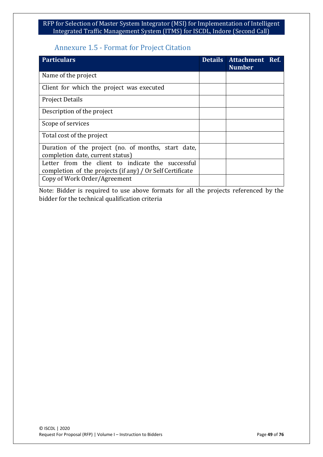### Annexure 1.5 - Format for Project Citation

| <b>Particulars</b>                                                                                             | <b>Details</b> | Attachment Ref.<br><b>Number</b> |  |
|----------------------------------------------------------------------------------------------------------------|----------------|----------------------------------|--|
| Name of the project                                                                                            |                |                                  |  |
| Client for which the project was executed                                                                      |                |                                  |  |
| <b>Project Details</b>                                                                                         |                |                                  |  |
| Description of the project                                                                                     |                |                                  |  |
| Scope of services                                                                                              |                |                                  |  |
| Total cost of the project                                                                                      |                |                                  |  |
| Duration of the project (no. of months, start date,<br>completion date, current status)                        |                |                                  |  |
| Letter from the client to indicate the successful<br>completion of the projects (if any) / Or Self Certificate |                |                                  |  |
| Copy of Work Order/Agreement                                                                                   |                |                                  |  |

Note: Bidder is required to use above formats for all the projects referenced by the bidder for the technical qualification criteria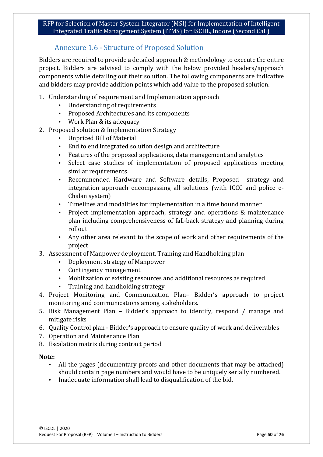### Annexure 1.6 - Structure of Proposed Solution

Bidders are required to provide a detailed approach & methodology to execute the entire project. Bidders are advised to comply with the below provided headers/approach components while detailing out their solution. The following components are indicative and bidders may provide addition points which add value to the proposed solution.

- 1. Understanding of requirement and Implementation approach
	- Understanding of requirements<br>• Proposed Architectures and its of
	- Proposed Architectures and its components
	- Work Plan & its adequacy
- 2. Proposed solution & Implementation Strategy
	- Unpriced Bill of Material
	- End to end integrated solution design and architecture
	- Features of the proposed applications, data management and analytics
	- Select case studies of implementation of proposed applications meeting similar requirements
	- Recommended Hardware and Software details, Proposed strategy and integration approach encompassing all solutions (with ICCC and police e-Chalan system)
	- Timelines and modalities for implementation in a time bound manner
	- Project implementation approach, strategy and operations & maintenance plan including comprehensiveness of fall-back strategy and planning during rollout
	- Any other area relevant to the scope of work and other requirements of the project
- 3. Assessment of Manpower deployment, Training and Handholding plan
	- Deployment strategy of Manpower
	- Contingency management<br>• Mobilization of existing res
	- Mobilization of existing resources and additional resources as required
	- Training and handholding strategy
- 4. Project Monitoring and Communication Plan– Bidder's approach to project monitoring and communications among stakeholders.
- 5. Risk Management Plan Bidder's approach to identify, respond / manage and mitigate risks
- 6. Quality Control plan Bidder's approach to ensure quality of work and deliverables
- 7. Operation and Maintenance Plan
- 8. Escalation matrix during contract period

#### **Note:**

- All the pages (documentary proofs and other documents that may be attached) should contain page numbers and would have to be uniquely serially numbered.
- Inadequate information shall lead to disqualification of the bid.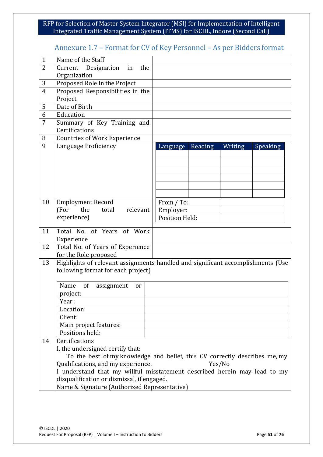# Annexure 1.7 – Format for CV of Key Personnel – As per Bidders format

| $\mathbf{1}$   | Name of the Staff                                    |                                                                                 |
|----------------|------------------------------------------------------|---------------------------------------------------------------------------------|
| $\overline{2}$ | Current Designation<br>the<br>in                     |                                                                                 |
|                | Organization                                         |                                                                                 |
| $\mathbf{3}$   | Proposed Role in the Project                         |                                                                                 |
| 4              | Proposed Responsibilities in the                     |                                                                                 |
|                | Project                                              |                                                                                 |
| 5              | Date of Birth                                        |                                                                                 |
| 6              | Education                                            |                                                                                 |
| 7              | Summary of Key Training and                          |                                                                                 |
|                | Certifications                                       |                                                                                 |
|                |                                                      |                                                                                 |
| 8<br>9         | <b>Countries of Work Experience</b>                  |                                                                                 |
|                | Language Proficiency                                 | Reading<br>Writing<br><b>Speaking</b><br>Language                               |
|                |                                                      |                                                                                 |
|                |                                                      |                                                                                 |
|                |                                                      |                                                                                 |
|                |                                                      |                                                                                 |
|                |                                                      |                                                                                 |
|                |                                                      |                                                                                 |
| 10             | <b>Employment Record</b>                             | From / To:                                                                      |
|                | (For<br>the<br>relevant<br>total                     | Employer:                                                                       |
|                | experience)                                          | Position Held:                                                                  |
|                |                                                      |                                                                                 |
| 11             | Total No. of Years of Work                           |                                                                                 |
|                | Experience                                           |                                                                                 |
| 12             | Total No. of Years of Experience                     |                                                                                 |
|                | for the Role proposed                                |                                                                                 |
| 13             |                                                      | Highlights of relevant assignments handled and significant accomplishments (Use |
|                | following format for each project)                   |                                                                                 |
|                |                                                      |                                                                                 |
|                | Name<br><sub>of</sub><br>assignment<br><sub>or</sub> |                                                                                 |
|                | project:                                             |                                                                                 |
|                | Year:                                                |                                                                                 |
|                | Location:                                            |                                                                                 |
|                | Client:                                              |                                                                                 |
|                | Main project features:                               |                                                                                 |
|                | Positions held:                                      |                                                                                 |
| 14             | Certifications                                       |                                                                                 |
|                | I, the undersigned certify that:                     |                                                                                 |
|                |                                                      | To the best of my knowledge and belief, this CV correctly describes me, my      |
|                | Qualifications, and my experience.                   | Yes/No                                                                          |
|                |                                                      | I understand that my willful misstatement described herein may lead to my       |
|                | disqualification or dismissal, if engaged.           |                                                                                 |
|                | Name & Signature (Authorized Representative)         |                                                                                 |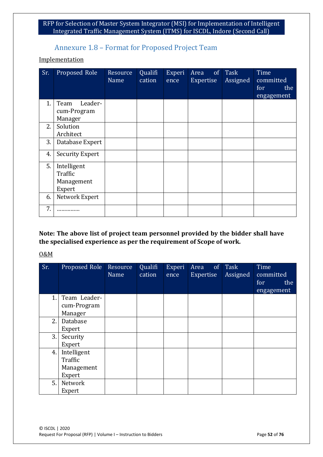### Annexure 1.8 – Format for Proposed Project Team

#### **Implementation**

| Sr. | Proposed Role                                  | Resource<br>Name | Qualifi<br>cation | Experi<br>ence | Area<br>Expertise | of Task<br>Assigned | Time<br>committed<br>for<br>the<br>engagement |
|-----|------------------------------------------------|------------------|-------------------|----------------|-------------------|---------------------|-----------------------------------------------|
| 1.  | Team<br>Leader-<br>cum-Program<br>Manager      |                  |                   |                |                   |                     |                                               |
| 2.  | Solution<br>Architect                          |                  |                   |                |                   |                     |                                               |
| 3.  | Database Expert                                |                  |                   |                |                   |                     |                                               |
| 4.  | <b>Security Expert</b>                         |                  |                   |                |                   |                     |                                               |
| 5.  | Intelligent<br>Traffic<br>Management<br>Expert |                  |                   |                |                   |                     |                                               |
| 6.  | Network Expert                                 |                  |                   |                |                   |                     |                                               |
| 7.  |                                                |                  |                   |                |                   |                     |                                               |

**Note: The above list of project team personnel provided by the bidder shall have the specialised experience as per the requirement of Scope of work.**

#### O&M

| Sr. | Proposed Role | Resource<br>$N$ ame | Qualifi<br>cation | Experi<br>ence | Area<br>of<br>Expertise | Task<br>Assigned | Time<br>committed<br>for<br>the |
|-----|---------------|---------------------|-------------------|----------------|-------------------------|------------------|---------------------------------|
|     |               |                     |                   |                |                         |                  | engagement                      |
| 1.  | Team Leader-  |                     |                   |                |                         |                  |                                 |
|     | cum-Program   |                     |                   |                |                         |                  |                                 |
|     | Manager       |                     |                   |                |                         |                  |                                 |
| 2.  | Database      |                     |                   |                |                         |                  |                                 |
|     | Expert        |                     |                   |                |                         |                  |                                 |
| 3.  | Security      |                     |                   |                |                         |                  |                                 |
|     | Expert        |                     |                   |                |                         |                  |                                 |
| 4.  | Intelligent   |                     |                   |                |                         |                  |                                 |
|     | Traffic       |                     |                   |                |                         |                  |                                 |
|     | Management    |                     |                   |                |                         |                  |                                 |
|     | Expert        |                     |                   |                |                         |                  |                                 |
| 5.  | Network       |                     |                   |                |                         |                  |                                 |
|     | Expert        |                     |                   |                |                         |                  |                                 |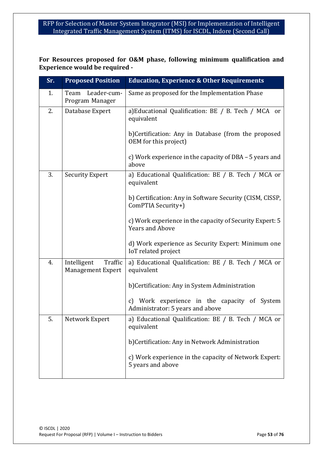### **For Resources proposed for O&M phase, following minimum qualification and Experience would be required -**

| Sr. | <b>Proposed Position</b>                           | <b>Education, Experience &amp; Other Requirements</b>                                          |
|-----|----------------------------------------------------|------------------------------------------------------------------------------------------------|
| 1.  | Leader-cum-<br>Team<br>Program Manager             | Same as proposed for the Implementation Phase                                                  |
| 2.  | Database Expert                                    | a)Educational Qualification: BE / B. Tech / MCA or<br>equivalent                               |
|     |                                                    | b) Certification: Any in Database (from the proposed<br>OEM for this project)                  |
|     |                                                    | c) Work experience in the capacity of DBA – 5 years and<br>above                               |
| 3.  | <b>Security Expert</b>                             | a) Educational Qualification: BE / B. Tech / MCA or<br>equivalent                              |
|     |                                                    | b) Certification: Any in Software Security (CISM, CISSP,<br>ComPTIA Security+)                 |
|     |                                                    | c) Work experience in the capacity of Security Expert: 5<br><b>Years and Above</b>             |
|     |                                                    | d) Work experience as Security Expert: Minimum one<br>IoT related project                      |
| 4.  | Intelligent<br>Traffic<br><b>Management Expert</b> | a) Educational Qualification: BE / B. Tech / MCA or<br>equivalent                              |
|     |                                                    | b)Certification: Any in System Administration                                                  |
|     |                                                    | Work experience in the capacity of System<br>$\mathcal{C}$<br>Administrator: 5 years and above |
| 5.  | Network Expert                                     | a) Educational Qualification: BE / B. Tech / MCA or<br>equivalent                              |
|     |                                                    | b) Certification: Any in Network Administration                                                |
|     |                                                    | c) Work experience in the capacity of Network Expert:<br>5 years and above                     |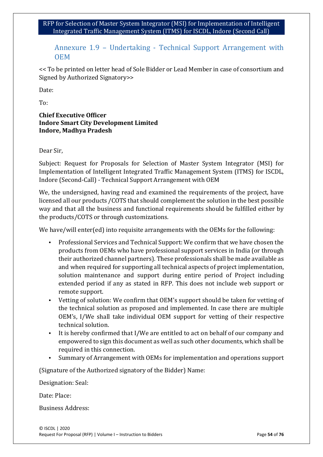### Annexure 1.9 – Undertaking - Technical Support Arrangement with OEM

<< To be printed on letter head of Sole Bidder or Lead Member in case of consortium and Signed by Authorized Signatory>>

Date:

To:

#### **Chief Executive Officer Indore Smart City Development Limited Indore, Madhya Pradesh**

Dear Sir,

Subject: Request for Proposals for Selection of Master System Integrator (MSI) for Implementation of Intelligent Integrated Traffic Management System (ITMS) for ISCDL, Indore (Second-Call) - Technical Support Arrangement with OEM

We, the undersigned, having read and examined the requirements of the project, have licensed all our products /COTS that should complement the solution in the best possible way and that all the business and functional requirements should be fulfilled either by the products/COTS or through customizations.

We have/will enter(ed) into requisite arrangements with the OEMs for the following:

- Professional Services and Technical Support: We confirm that we have chosen the products from OEMs who have professional support services in India (or through their authorized channel partners). These professionals shall be made available as and when required for supporting all technical aspects of project implementation, solution maintenance and support during entire period of Project including extended period if any as stated in RFP. This does not include web support or remote support.
- Vetting of solution: We confirm that OEM's support should be taken for vetting of the technical solution as proposed and implemented. In case there are multiple OEM's, I/We shall take individual OEM support for vetting of their respective technical solution.
- It is hereby confirmed that I/We are entitled to act on behalf of our company and empowered to sign this document as well as such other documents, which shall be required in this connection.
- Summary of Arrangement with OEMs for implementation and operations support

(Signature of the Authorized signatory of the Bidder) Name:

Designation: Seal:

Date: Place:

Business Address: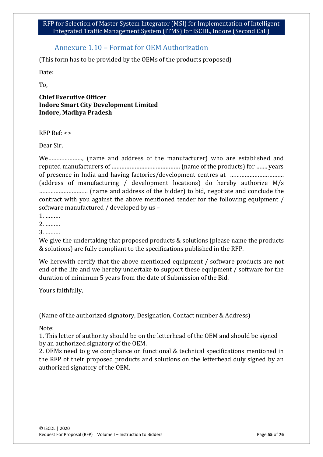### Annexure 1.10 – Format for OEM Authorization

(This form has to be provided by the OEMs of the products proposed)

Date:

To,

#### **Chief Executive Officer Indore Smart City Development Limited Indore, Madhya Pradesh**

RFP Ref: <>

Dear Sir,

We…………………, (name and address of the manufacturer) who are established and reputed manufacturers of …………………………………… (name of the products) for ……. years of presence in India and having factories/development centres at …………………………… (address of manufacturing / development locations) do hereby authorize M/s ………………………… (name and address of the bidder) to bid, negotiate and conclude the contract with you against the above mentioned tender for the following equipment / software manufactured / developed by us –

1. ………

2. ………

3. ………

We give the undertaking that proposed products & solutions (please name the products & solutions) are fully compliant to the specifications published in the RFP.

We herewith certify that the above mentioned equipment / software products are not end of the life and we hereby undertake to support these equipment / software for the duration of minimum 5 years from the date of Submission of the Bid.

Yours faithfully,

(Name of the authorized signatory, Designation, Contact number & Address)

Note:

1. This letter of authority should be on the letterhead of the OEM and should be signed by an authorized signatory of the OEM.

2. OEMs need to give compliance on functional & technical specifications mentioned in the RFP of their proposed products and solutions on the letterhead duly signed by an authorized signatory of the OEM.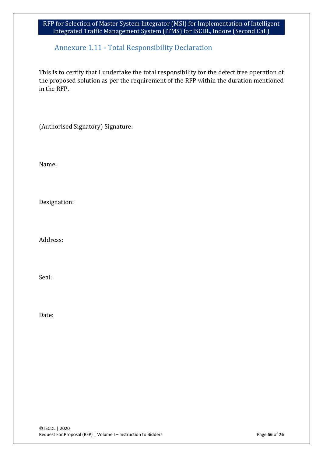### Annexure 1.11 - Total Responsibility Declaration

This is to certify that I undertake the total responsibility for the defect free operation of the proposed solution as per the requirement of the RFP within the duration mentioned in the RFP.

(Authorised Signatory) Signature:

Name:

Designation:

Address:

Seal:

Date: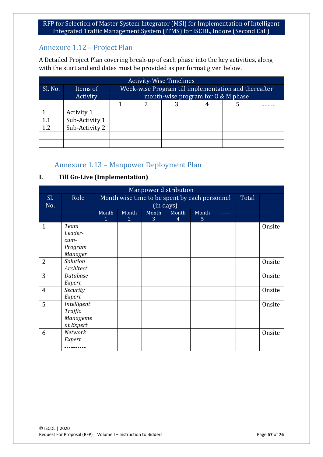# Annexure 1.12 – Project Plan

A Detailed Project Plan covering break-up of each phase into the key activities, along with the start and end dates must be provided as per format given below.

| <b>Activity-Wise Timelines</b> |                |  |  |  |                                      |                                                      |  |  |  |
|--------------------------------|----------------|--|--|--|--------------------------------------|------------------------------------------------------|--|--|--|
| Sl. No.                        | Items of       |  |  |  |                                      | Week-wise Program till implementation and thereafter |  |  |  |
|                                | Activity       |  |  |  | month-wise program for $0 & M$ phase |                                                      |  |  |  |
|                                |                |  |  |  |                                      |                                                      |  |  |  |
|                                | Activity 1     |  |  |  |                                      |                                                      |  |  |  |
| 1.1                            | Sub-Activity 1 |  |  |  |                                      |                                                      |  |  |  |
| 1.2                            | Sub-Activity 2 |  |  |  |                                      |                                                      |  |  |  |
|                                |                |  |  |  |                                      |                                                      |  |  |  |
|                                |                |  |  |  |                                      |                                                      |  |  |  |

### Annexure 1.13 – Manpower Deployment Plan

### **I. Till Go-Live (Implementation)**

|                | Manpower distribution                                |                       |                         |            |                         |                                               |        |       |        |
|----------------|------------------------------------------------------|-----------------------|-------------------------|------------|-------------------------|-----------------------------------------------|--------|-------|--------|
| Sl.<br>No.     | Role                                                 |                       |                         | (in days)  |                         | Month wise time to be spent by each personnel |        | Total |        |
|                |                                                      | Month<br>$\mathbf{1}$ | Month<br>$\overline{2}$ | Month<br>3 | Month<br>$\overline{4}$ | Month<br>5.                                   | ------ |       |        |
| $\mathbf{1}$   | Team<br>Leader-<br>cum-<br>Program<br><b>Manager</b> |                       |                         |            |                         |                                               |        |       | Onsite |
| $\overline{2}$ | Solution<br>Architect                                |                       |                         |            |                         |                                               |        |       | Onsite |
| 3              | Database<br>Expert                                   |                       |                         |            |                         |                                               |        |       | Onsite |
| $\overline{4}$ | Security<br>Expert                                   |                       |                         |            |                         |                                               |        |       | Onsite |
| 5              | Intelligent<br>Traffic<br>Manageme<br>nt Expert      |                       |                         |            |                         |                                               |        |       | Onsite |
| 6              | Network<br>Expert                                    |                       |                         |            |                         |                                               |        |       | Onsite |
|                |                                                      |                       |                         |            |                         |                                               |        |       |        |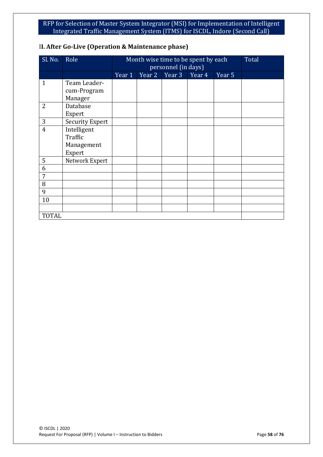| SI. No.        | Role                                           |        | Month wise time to be spent by each<br>personnel (in days) |        |        | Total             |  |
|----------------|------------------------------------------------|--------|------------------------------------------------------------|--------|--------|-------------------|--|
|                |                                                | Year 1 | Year 2                                                     | Year 3 | Year 4 | Year <sub>5</sub> |  |
| $\mathbf{1}$   | Team Leader-<br>cum-Program<br>Manager         |        |                                                            |        |        |                   |  |
| 2              | Database<br>Expert                             |        |                                                            |        |        |                   |  |
| 3              | <b>Security Expert</b>                         |        |                                                            |        |        |                   |  |
| $\overline{4}$ | Intelligent<br>Traffic<br>Management<br>Expert |        |                                                            |        |        |                   |  |
| 5              | Network Expert                                 |        |                                                            |        |        |                   |  |
| 6              |                                                |        |                                                            |        |        |                   |  |
| $\overline{7}$ |                                                |        |                                                            |        |        |                   |  |
| 8              |                                                |        |                                                            |        |        |                   |  |
| 9              |                                                |        |                                                            |        |        |                   |  |
| 10             |                                                |        |                                                            |        |        |                   |  |
|                |                                                |        |                                                            |        |        |                   |  |
| <b>TOTAL</b>   |                                                |        |                                                            |        |        |                   |  |

### I**I. After Go-Live (Operation & Maintenance phase)**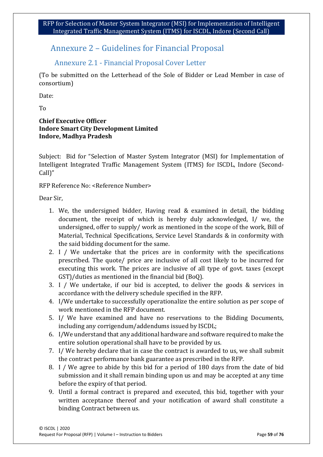# Annexure 2 – Guidelines for Financial Proposal

### Annexure 2.1 - Financial Proposal Cover Letter

(To be submitted on the Letterhead of the Sole of Bidder or Lead Member in case of consortium)

Date:

To

### **Chief Executive Officer Indore Smart City Development Limited Indore, Madhya Pradesh**

Subject: Bid for "Selection of Master System Integrator (MSI) for Implementation of Intelligent Integrated Traffic Management System (ITMS) for ISCDL, Indore (Second-Call)"

RFP Reference No: <Reference Number>

Dear Sir,

- 1. We, the undersigned bidder, Having read & examined in detail, the bidding document, the receipt of which is hereby duly acknowledged, I/ we, the undersigned, offer to supply/ work as mentioned in the scope of the work, Bill of Material, Technical Specifications, Service Level Standards & in conformity with the said bidding document for the same.
- 2. I / We undertake that the prices are in conformity with the specifications prescribed. The quote/ price are inclusive of all cost likely to be incurred for executing this work. The prices are inclusive of all type of govt. taxes (except GST)/duties as mentioned in the financial bid (BoQ).
- 3. I / We undertake, if our bid is accepted, to deliver the goods & services in accordance with the delivery schedule specified in the RFP.
- 4. I/We undertake to successfully operationalize the entire solution as per scope of work mentioned in the RFP document.
- 5. I/ We have examined and have no reservations to the Bidding Documents, including any corrigendum/addendums issued by ISCDL;
- 6. I/We understand that any additional hardware and software required to make the entire solution operational shall have to be provided by us.
- 7. I/ We hereby declare that in case the contract is awarded to us, we shall submit the contract performance bank guarantee as prescribed in the RFP.
- 8. I / We agree to abide by this bid for a period of 180 days from the date of bid submission and it shall remain binding upon us and may be accepted at any time before the expiry of that period.
- 9. Until a formal contract is prepared and executed, this bid, together with your written acceptance thereof and your notification of award shall constitute a binding Contract between us.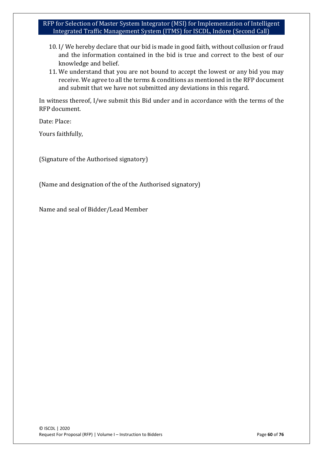- 10. I/ We hereby declare that our bid is made in good faith, without collusion or fraud and the information contained in the bid is true and correct to the best of our knowledge and belief.
- 11. We understand that you are not bound to accept the lowest or any bid you may receive. We agree to all the terms & conditions as mentioned in the RFP document and submit that we have not submitted any deviations in this regard.

In witness thereof, I/we submit this Bid under and in accordance with the terms of the RFP document.

Date: Place:

Yours faithfully,

(Signature of the Authorised signatory)

(Name and designation of the of the Authorised signatory)

Name and seal of Bidder/Lead Member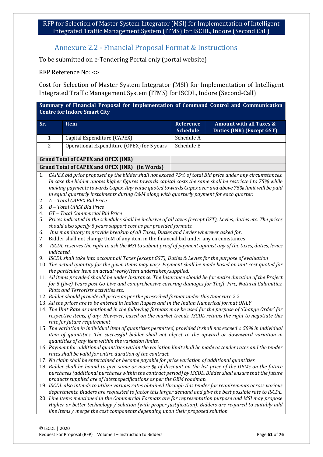### Annexure 2.2 - Financial Proposal Format & Instructions

To be submitted on e-Tendering Portal only (portal website)

RFP Reference No: <>

Cost for Selection of Master System Integrator (MSI) for Implementation of Intelligent Integrated Traffic Management System (ITMS) for ISCDL, Indore (Second-Call)

**Summary of Financial Proposal for Implementation of Command Control and Communication Centre for Indore Smart City**

| Sr. | Item                                                     | Reference<br><b>Schedule</b> | <b>Amount with all Taxes &amp;</b><br>Duties (INR) (Except GST) |
|-----|----------------------------------------------------------|------------------------------|-----------------------------------------------------------------|
|     | Capital Expenditure (CAPEX)                              | Schedule A                   |                                                                 |
| 2   | Operational Expenditure (OPEX) for 5 years               | Schedule B                   |                                                                 |
|     | <b>Grand Total of CAPEX and OPEX (INR)</b>               |                              |                                                                 |
|     | <b>Grand Total of CAPEX and OPEX (INR)</b><br>(in Words) |                              |                                                                 |

1. *CAPEX bid price proposed by the bidder shall not exceed 75% of total Bid price under any circumstances. In case the bidder quotes higher figures towards capital costs the same shall be restricted to 75% while making payments towards Capex. Any value quoted towards Capex over and above 75% limit will be paid in equal quarterly instalments during O&M along with quarterly payment for each quarter.*

- 2. *A – Total CAPEX Bid Price*
- 3. *B – Total OPEX Bid Price*
- 4. *GT – Total Commercial Bid Price*
- 5. *Prices indicated in the schedules shall be inclusive of all taxes (except GST), Levies, duties etc. The prices should also specify 5 years support cost as per provided formats.*
- 6. *It is mandatory to provide breakup of all Taxes, Duties and Levies wherever asked for.*
- 7. Bidder shall not change UoM of any item in the financial bid under any circumstances
- 8. *ISCDL reserves the right to ask the MSI to submit proof of payment against any of the taxes, duties, levies indicated.*
- 9. *ISCDL shall take into account all Taxes (except GST), Duties & Levies for the purpose of evaluation*
- 10. *The actual quantity for the given items may vary. Payment shall be made based on unit cost quoted for the particular item on actual work/item undertaken/supplied.*
- 11. *All items provided should be under Insurance. The Insurance should be for entire duration of the Project for 5 (five) Years post Go-Live and comprehensive covering damages for Theft, Fire, Natural Calamities, Riots and Terrorists activities etc.*
- 12. *Bidder should provide all prices as per the prescribed format under this Annexure 2.2.*
- 13. *All the prices are to be entered in Indian Rupees and in the Indian Numerical format ONLY*
- 14. *The Unit Rate as mentioned in the following formats may be used for the purpose of 'Change Order' for respective items, if any. However, based on the market trends, ISCDL retains the right to negotiate this rate for future requirement*
- 15. *The variation in individual item of quantities permitted, provided it shall not exceed ± 50% in individual item of quantities. The successful bidder shall not object to the upward or downward variation in quantities of any item within the variation limits.*
- 16. *Payment for additional quantities within the variation limit shall be made at tender rates and the tender rates shall be valid for entire duration of the contract.*
- 17. *No claim shall be entertained or become payable for price variation of additional quantities*
- 18. *Bidder shall be bound to give same or more % of discount on the list price of the OEMs on the future purchases (additional purchases within the contract period) by ISCDL. Bidder shall ensure that the future products supplied are of latest specifications as per the OEM roadmap.*
- 19. *ISCDL also intends to utilize various rates obtained through this tender for requirements across various departments. Bidders are requested to factor this larger demand and give the best possible rate to ISCDL.*
- 20. *Line items mentioned in the Commercial Formats are for representation purpose and MSI may propose Higher or better technology / solution (with proper justification). Bidders are required to suitably add line items / merge the cost components depending upon their proposed solution.*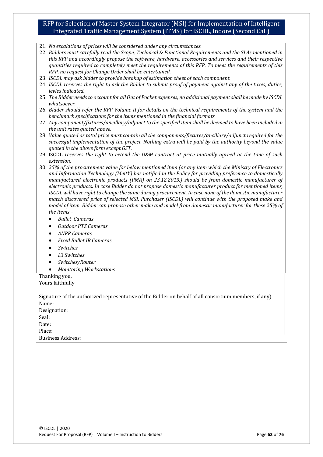- 21. *No escalations of prices will be considered under any circumstances.*
- 22. *Bidders must carefully read the Scope, Technical & Functional Requirements and the SLAs mentioned in this RFP and accordingly propose the software, hardware, accessories and services and their respective quantities required to completely meet the requirements of this RFP. To meet the requirements of this RFP, no request for Change Order shall be entertained.*
- 23. *ISCDL may ask bidder to provide breakup of estimation sheet of each component.*
- 24. *ISCDL reserves the right to ask the Bidder to submit proof of payment against any of the taxes, duties, levies indicated.*
- 25. *The Bidder needs to account for all Out of Pocket expenses, no additional payment shall be made by ISCDL whatsoever.*
- 26. *Bidder should refer the RFP Volume II for details on the technical requirements of the system and the benchmark specifications for the items mentioned in the financial formats.*
- 27. *Any component/fixtures/ancillary/adjunct to the specified item shall be deemed to have been included in the unit rates quoted above.*
- 28. *Value quoted as total price must contain all the components/fixtures/ancillary/adjunct required for the successful implementation of the project. Nothing extra will be paid by the authority beyond the value quoted in the above form except GST.*
- 29. ISCDL *reserves the right to extend the O&M contract at price mutually agreed at the time of such extension.*
- 30. *25% of the procurement value for below mentioned item (or any item which the Ministry of Electronics and Information Technology (MeitY) has notified in the Policy for providing preference to domestically manufactured electronic products (PMA) on 23.12.2013.) should be from domestic manufacturer of electronic products. In case Bidder do not propose domestic manufacturer product for mentioned items, ISCDL will have right to change the same during procurement. In case none of the domestic manufacturer match discovered price of selected MSI, Purchaser (ISCDL) will continue with the proposed make and model of item. Bidder can propose other make and model from domestic manufacturer for these 25% of the items –*
	- *Bullet Cameras*
	- *Outdoor PTZ Cameras*
	- *ANPR Cameras*
	- *Fixed Bullet IR Cameras*
	- *Switches*
	- *L3 Switches*
	- *Switches/Router*
	- *Monitoring Workstations*

Thanking you, Yours faithfully

Signature of the authorized representative of the Bidder on behalf of all consortium members, if any) Name: Designation: Seal:

Date: Place:

Business Address: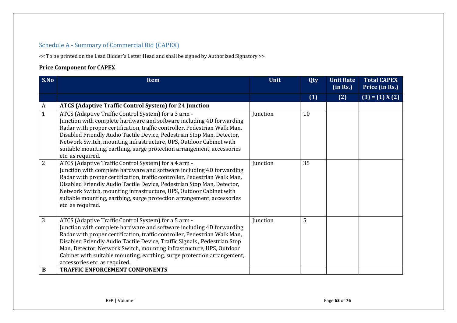### Schedule A - Summary of Commercial Bid (CAPEX)

<< To be printed on the Lead Bidder's Letter Head and shall be signed by Authorized Signatory >>

### **Price Component for CAPEX**

| S.No         | <b>Item</b>                                                                                                                                                                                                                                                                                                                                                                                                                                                               | Unit     | Qty | <b>Unit Rate</b><br>(in Rs.) | <b>Total CAPEX</b><br>Price (in Rs.) |
|--------------|---------------------------------------------------------------------------------------------------------------------------------------------------------------------------------------------------------------------------------------------------------------------------------------------------------------------------------------------------------------------------------------------------------------------------------------------------------------------------|----------|-----|------------------------------|--------------------------------------|
|              |                                                                                                                                                                                                                                                                                                                                                                                                                                                                           |          | (1) | (2)                          | $(3) = (1) X(2)$                     |
| A            | <b>ATCS (Adaptive Traffic Control System) for 24 Junction</b>                                                                                                                                                                                                                                                                                                                                                                                                             |          |     |                              |                                      |
| $\mathbf{1}$ | ATCS (Adaptive Traffic Control System) for a 3 arm -<br>Junction with complete hardware and software including 4D forwarding<br>Radar with proper certification, traffic controller, Pedestrian Walk Man,<br>Disabled Friendly Audio Tactile Device, Pedestrian Stop Man, Detector,<br>Network Switch, mounting infrastructure, UPS, Outdoor Cabinet with<br>suitable mounting, earthing, surge protection arrangement, accessories<br>etc. as required.                  | Junction | 10  |                              |                                      |
| 2            | ATCS (Adaptive Traffic Control System) for a 4 arm -<br>Junction with complete hardware and software including 4D forwarding<br>Radar with proper certification, traffic controller, Pedestrian Walk Man,<br>Disabled Friendly Audio Tactile Device, Pedestrian Stop Man, Detector,<br>Network Switch, mounting infrastructure, UPS, Outdoor Cabinet with<br>suitable mounting, earthing, surge protection arrangement, accessories<br>etc. as required.                  | Junction | 35  |                              |                                      |
| 3            | ATCS (Adaptive Traffic Control System) for a 5 arm -<br>Junction with complete hardware and software including 4D forwarding<br>Radar with proper certification, traffic controller, Pedestrian Walk Man,<br>Disabled Friendly Audio Tactile Device, Traffic Signals, Pedestrian Stop<br>Man, Detector, Network Switch, mounting infrastructure, UPS, Outdoor<br>Cabinet with suitable mounting, earthing, surge protection arrangement,<br>accessories etc. as required. | Junction | 5   |                              |                                      |
| B            | <b>TRAFFIC ENFORCEMENT COMPONENTS</b>                                                                                                                                                                                                                                                                                                                                                                                                                                     |          |     |                              |                                      |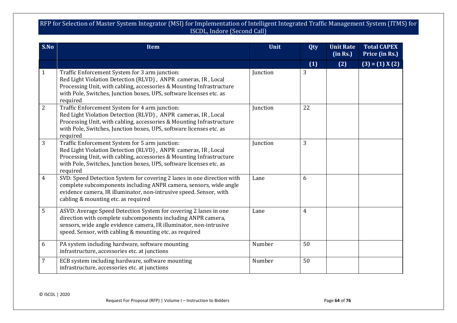| S.No           | Item                                                                                                                                                                                                                                                                       | Unit     | Qty | <b>Unit Rate</b><br>(in Rs.) | <b>Total CAPEX</b><br>Price (in Rs.) |
|----------------|----------------------------------------------------------------------------------------------------------------------------------------------------------------------------------------------------------------------------------------------------------------------------|----------|-----|------------------------------|--------------------------------------|
|                |                                                                                                                                                                                                                                                                            |          | (1) | (2)                          | $(3) = (1) X(2)$                     |
| 1              | Traffic Enforcement System for 3 arm junction:<br>Red Light Violation Detection (RLVD), ANPR cameras, IR, Local<br>Processing Unit, with cabling, accessories & Mounting Infrastructure<br>with Pole, Switches, Junction boxes, UPS, software licenses etc. as<br>required | Junction | 3   |                              |                                      |
| $\overline{2}$ | Traffic Enforcement System for 4 arm junction:<br>Red Light Violation Detection (RLVD), ANPR cameras, IR, Local<br>Processing Unit, with cabling, accessories & Mounting Infrastructure<br>with Pole, Switches, Junction boxes, UPS, software licenses etc. as<br>required | Junction | 22  |                              |                                      |
| 3              | Traffic Enforcement System for 5 arm junction:<br>Red Light Violation Detection (RLVD), ANPR cameras, IR, Local<br>Processing Unit, with cabling, accessories & Mounting Infrastructure<br>with Pole, Switches, Junction boxes, UPS, software licenses etc. as<br>required | Junction | 3   |                              |                                      |
| $\overline{4}$ | SVD: Speed Detection System for covering 2 lanes in one direction with<br>complete subcomponents including ANPR camera, sensors, wide angle<br>evidence camera, IR illuminator, non-intrusive speed. Sensor, with<br>cabling & mounting etc. as required                   | Lane     | 6   |                              |                                      |
| 5              | ASVD: Average Speed Detection System for covering 2 lanes in one<br>direction with complete subcomponents including ANPR camera,<br>sensors, wide angle evidence camera, IR illuminator, non-intrusive<br>speed. Sensor, with cabling & mounting etc. as required          | Lane     | 4   |                              |                                      |
| 6              | PA system including hardware, software mounting<br>infrastructure, accessories etc. at junctions                                                                                                                                                                           | Number   | 50  |                              |                                      |
| 7              | ECB system including hardware, software mounting<br>infrastructure, accessories etc. at junctions                                                                                                                                                                          | Number   | 50  |                              |                                      |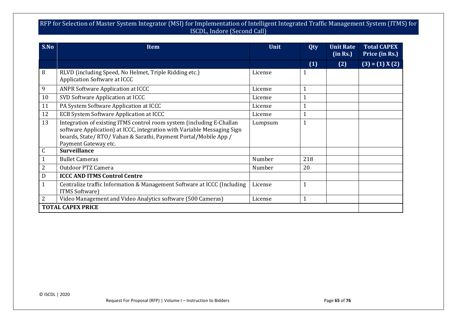| S.No         | <b>Item</b>                                                                                                                                                                                                                                  | Unit    | <b>Unit Rate</b><br>Qty<br>(in Rs.) |     | <b>Total CAPEX</b><br>Price (in Rs.) |
|--------------|----------------------------------------------------------------------------------------------------------------------------------------------------------------------------------------------------------------------------------------------|---------|-------------------------------------|-----|--------------------------------------|
|              |                                                                                                                                                                                                                                              |         | (1)                                 | (2) | $(3) = (1) X(2)$                     |
| 8            | RLVD (including Speed, No Helmet, Triple Ridding etc.)<br><b>Application Software at ICCC</b>                                                                                                                                                | License | 1                                   |     |                                      |
| 9            | <b>ANPR Software Application at ICCC</b>                                                                                                                                                                                                     | License | $\mathbf 1$                         |     |                                      |
| 10           | SVD Software Application at ICCC                                                                                                                                                                                                             | License | $\mathbf{1}$                        |     |                                      |
| 11           | PA System Software Application at ICCC                                                                                                                                                                                                       | License | $\mathbf{1}$                        |     |                                      |
| 12           | ECB System Software Application at ICCC                                                                                                                                                                                                      | License | 1                                   |     |                                      |
| 13           | Integration of existing ITMS control room system (including E-Challan<br>software Application) at ICCC, integration with Variable Messaging Sign<br>boards, State/ RTO/ Vahan & Sarathi, Payment Portal/Mobile App /<br>Payment Gateway etc. | Lumpsum | $\mathbf{1}$                        |     |                                      |
| $\mathsf C$  | <b>Surveillance</b>                                                                                                                                                                                                                          |         |                                     |     |                                      |
|              | <b>Bullet Cameras</b>                                                                                                                                                                                                                        | Number  | 218                                 |     |                                      |
| 2            | <b>Outdoor PTZ Camera</b>                                                                                                                                                                                                                    | Number  | 20                                  |     |                                      |
| D            | <b>ICCC AND ITMS Control Centre</b>                                                                                                                                                                                                          |         |                                     |     |                                      |
| $\mathbf{1}$ | Centralize traffic Information & Management Software at ICCC (Including<br><b>ITMS Software</b> )                                                                                                                                            | License | $\mathbf{1}$                        |     |                                      |
| 2            | Video Management and Video Analytics software (500 Cameras)                                                                                                                                                                                  | License | 1                                   |     |                                      |
|              | <b>TOTAL CAPEX PRICE</b>                                                                                                                                                                                                                     |         |                                     |     |                                      |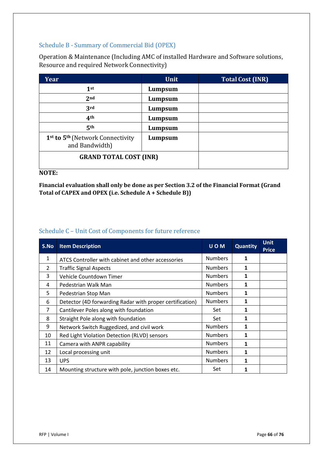### Schedule B - Summary of Commercial Bid (OPEX)

Operation & Maintenance (Including AMC of installed Hardware and Software solutions, Resource and required Network Connectivity)

| Year                                                           | <b>Unit</b> | <b>Total Cost (INR)</b> |
|----------------------------------------------------------------|-------------|-------------------------|
| 1 <sup>st</sup>                                                | Lumpsum     |                         |
| 2 <sub>nd</sub>                                                | Lumpsum     |                         |
| 3rd                                                            | Lumpsum     |                         |
| 4 <sup>th</sup>                                                | Lumpsum     |                         |
| 5 <sup>th</sup>                                                | Lumpsum     |                         |
| 1st to 5 <sup>th</sup> (Network Connectivity<br>and Bandwidth) | Lumpsum     |                         |
| <b>GRAND TOTAL COST (INR)</b>                                  |             |                         |

#### **NOTE:**

**Financial evaluation shall only be done as per Section 3.2 of the Financial Format (Grand Total of CAPEX and OPEX (i.e. Schedule A + Schedule B))**

#### Schedule C – Unit Cost of Components for future reference

| S.No | <b>Item Description</b>                                  | <b>UOM</b>     | Quantity     | <b>Unit</b><br><b>Price</b> |
|------|----------------------------------------------------------|----------------|--------------|-----------------------------|
| 1    | ATCS Controller with cabinet and other accessories       | <b>Numbers</b> | 1            |                             |
| 2    | <b>Traffic Signal Aspects</b>                            | <b>Numbers</b> | $\mathbf{1}$ |                             |
| 3    | Vehicle Countdown Timer                                  | <b>Numbers</b> | 1            |                             |
| 4    | Pedestrian Walk Man                                      | <b>Numbers</b> | 1            |                             |
| 5    | Pedestrian Stop Man                                      | <b>Numbers</b> | 1            |                             |
| 6    | Detector (4D forwarding Radar with proper certification) | <b>Numbers</b> | 1            |                             |
| 7    | Cantilever Poles along with foundation                   | Set            | 1            |                             |
| 8    | Straight Pole along with foundation                      | Set            | 1            |                             |
| 9    | Network Switch Ruggedized, and civil work                | <b>Numbers</b> | 1            |                             |
| 10   | Red Light Violation Detection (RLVD) sensors             | <b>Numbers</b> | 1            |                             |
| 11   | Camera with ANPR capability                              | <b>Numbers</b> | 1            |                             |
| 12   | Local processing unit                                    | <b>Numbers</b> | 1            |                             |
| 13   | <b>UPS</b>                                               | <b>Numbers</b> | 1            |                             |
| 14   | Mounting structure with pole, junction boxes etc.        | Set            | 1            |                             |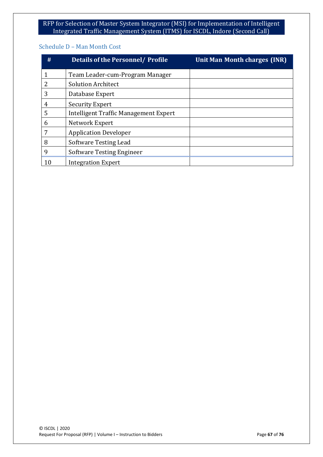#### Schedule D – Man Month Cost

| #  | Details of the Personnel / Profile           | Unit Man Month charges (INR) |
|----|----------------------------------------------|------------------------------|
|    | Team Leader-cum-Program Manager              |                              |
|    | <b>Solution Architect</b>                    |                              |
| 3  | Database Expert                              |                              |
| 4  | Security Expert                              |                              |
| 5  | <b>Intelligent Traffic Management Expert</b> |                              |
| 6  | Network Expert                               |                              |
| 7  | <b>Application Developer</b>                 |                              |
| 8  | Software Testing Lead                        |                              |
| 9  | <b>Software Testing Engineer</b>             |                              |
| 10 | <b>Integration Expert</b>                    |                              |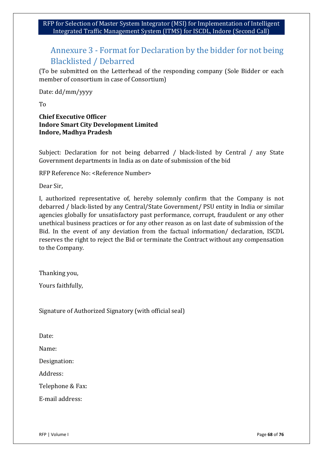# Annexure 3 - Format for Declaration by the bidder for not being Blacklisted / Debarred

(To be submitted on the Letterhead of the responding company (Sole Bidder or each member of consortium in case of Consortium)

Date: dd/mm/yyyy

To

#### **Chief Executive Officer Indore Smart City Development Limited Indore, Madhya Pradesh**

Subject: Declaration for not being debarred / black-listed by Central / any State Government departments in India as on date of submission of the bid

RFP Reference No: <Reference Number>

Dear Sir,

I, authorized representative of, hereby solemnly confirm that the Company is not debarred / black-listed by any Central/State Government/ PSU entity in India or similar agencies globally for unsatisfactory past performance, corrupt, fraudulent or any other unethical business practices or for any other reason as on last date of submission of the Bid. In the event of any deviation from the factual information/ declaration, ISCDL reserves the right to reject the Bid or terminate the Contract without any compensation to the Company.

Thanking you,

Yours faithfully,

Signature of Authorized Signatory (with official seal)

Date:

Name:

Designation:

Address:

Telephone & Fax:

E-mail address: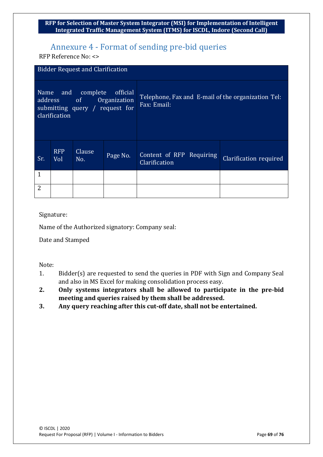# Annexure 4 - Format of sending pre-bid queries

RFP Reference No: <>

|                                                                                                                      | <b>Bidder Request and Clarification</b> |               |          |                                                                   |                        |  |
|----------------------------------------------------------------------------------------------------------------------|-----------------------------------------|---------------|----------|-------------------------------------------------------------------|------------------------|--|
| and complete<br>official<br>Name<br>Organization<br>of<br>address<br>submitting query / request for<br>clarification |                                         |               |          | Telephone, Fax and E-mail of the organization Tel:<br>Fax: Email: |                        |  |
| Sr.                                                                                                                  | <b>RFP</b><br>Vol                       | Clause<br>No. | Page No. | Content of RFP Requiring<br>Clarification                         | Clarification required |  |
| 1                                                                                                                    |                                         |               |          |                                                                   |                        |  |
| $\overline{2}$                                                                                                       |                                         |               |          |                                                                   |                        |  |

#### Signature:

Name of the Authorized signatory: Company seal:

Date and Stamped

Note:

- 1. Bidder(s) are requested to send the queries in PDF with Sign and Company Seal and also in MS Excel for making consolidation process easy.
- **2. Only systems integrators shall be allowed to participate in the pre-bid meeting and queries raised by them shall be addressed.**
- **3. Any query reaching after this cut-off date, shall not be entertained.**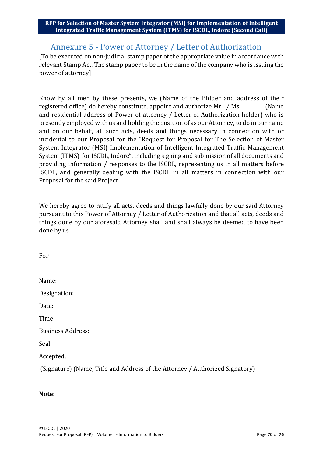# Annexure 5 - Power of Attorney / Letter of Authorization

[To be executed on non-judicial stamp paper of the appropriate value in accordance with relevant Stamp Act. The stamp paper to be in the name of the company who is issuing the power of attorney]

Know by all men by these presents, we (Name of the Bidder and address of their registered office) do hereby constitute, appoint and authorize Mr. / Ms…………….(Name and residential address of Power of attorney / Letter of Authorization holder) who is presently employed with us and holding the position of as our Attorney, to do in our name and on our behalf, all such acts, deeds and things necessary in connection with or incidental to our Proposal for the "Request for Proposal for The Selection of Master System Integrator (MSI) Implementation of Intelligent Integrated Traffic Management System (ITMS) for ISCDL, Indore", including signing and submission of all documents and providing information / responses to the ISCDL, representing us in all matters before ISCDL, and generally dealing with the ISCDL in all matters in connection with our Proposal for the said Project.

We hereby agree to ratify all acts, deeds and things lawfully done by our said Attorney pursuant to this Power of Attorney / Letter of Authorization and that all acts, deeds and things done by our aforesaid Attorney shall and shall always be deemed to have been done by us.

For

| Name:                    |
|--------------------------|
| Designation:             |
| Date:                    |
| Time:                    |
| <b>Business Address:</b> |
| Seal:                    |

Accepted,

(Signature) (Name, Title and Address of the Attorney / Authorized Signatory)

### **Note:**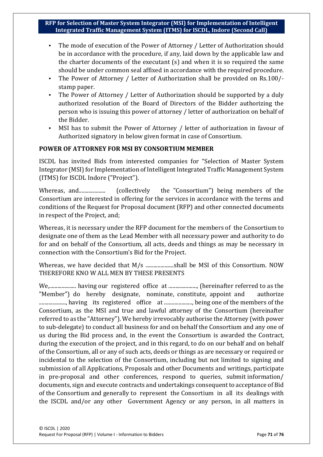- The mode of execution of the Power of Attorney / Letter of Authorization should be in accordance with the procedure, if any, laid down by the applicable law and the charter documents of the executant (s) and when it is so required the same should be under common seal affixed in accordance with the required procedure.
- The Power of Attorney / Letter of Authorization shall be provided on Rs.100/ stamp paper.
- The Power of Attorney / Letter of Authorization should be supported by a duly authorized resolution of the Board of Directors of the Bidder authorizing the person who is issuing this power of attorney / letter of authorization on behalf of the Bidder.
- MSI has to submit the Power of Attorney / letter of authorization in favour of Authorized signatory in below given format in case of Consortium.

### **POWER OF ATTORNEY FOR MSI BY CONSORTIUM MEMBER**

ISCDL has invited Bids from interested companies for "Selection of Master System Integrator (MSI) for Implementation of Intelligent Integrated Traffic Management System (ITMS) for ISCDL Indore ("Project").

Whereas, and.................... (collectively the "Consortium") being members of the Consortium are interested in offering for the services in accordance with the terms and conditions of the Request for Proposal document (RFP) and other connected documents in respect of the Project, and;

Whereas, it is necessary under the RFP document for the members of the Consortium to designate one of them as the Lead Member with all necessary power and authority to do for and on behalf of the Consortium, all acts, deeds and things as may be necessary in connection with the Consortium's Bid for the Project.

Whereas, we have decided that M/s ..........................shall be MSI of this Consortium. NOW THEREFORE KNO W ALL MEN BY THESE PRESENTS

We,.................... having our registered office at ....................., (hereinafter referred to as the "Member") do hereby designate, nominate, constitute, appoint and authorize ...................., having its registered office at ....................., being one of the members of the Consortium, as the MSI and true and lawful attorney of the Consortium (hereinafter referred to as the "Attorney"). We hereby irrevocably authorise the Attorney (with power to sub-delegate) to conduct all business for and on behalf the Consortium and any one of us during the Bid process and, in the event the Consortium is awarded the Contract, during the execution of the project, and in this regard, to do on our behalf and on behalf of the Consortium, all or any of such acts, deeds or things as are necessary or required or incidental to the selection of the Consortium, including but not limited to signing and submission of all Applications, Proposals and other Documents and writings, participate in pre-proposal and other conferences, respond to queries, submit information/ documents, sign and execute contracts and undertakings consequent to acceptance of Bid of the Consortium and generally to represent the Consortium in all its dealings with the ISCDL and/or any other Government Agency or any person, in all matters in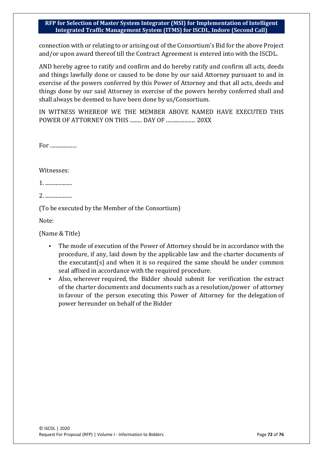connection with or relating to or arising out of the Consortium's Bid for the above Project and/or upon award thereof till the Contract Agreement is entered into with the ISCDL.

AND hereby agree to ratify and confirm and do hereby ratify and confirm all acts, deeds and things lawfully done or caused to be done by our said Attorney pursuant to and in exercise of the powers conferred by this Power of Attorney and that all acts, deeds and things done by our said Attorney in exercise of the powers hereby conferred shall and shall always be deemed to have been done by us/Consortium.

IN WITNESS WHEREOF WE THE MEMBER ABOVE NAMED HAVE EXECUTED THIS POWER OF ATTORNEY ON THIS ......... DAY OF ...................... 20XX

For ......................

Witnesses:

1. ....................

2. .....................

(To be executed by the Member of the Consortium)

Note:

(Name & Title)

- The mode of execution of the Power of Attorney should be in accordance with the procedure, if any, laid down by the applicable law and the charter documents of the executant(s) and when it is so required the same should be under common seal affixed in accordance with the required procedure.
- Also, wherever required, the Bidder should submit for verification the extract of the charter documents and documents such as a resolution/power of attorney in favour of the person executing this Power of Attorney for the delegation of power hereunder on behalf of the Bidder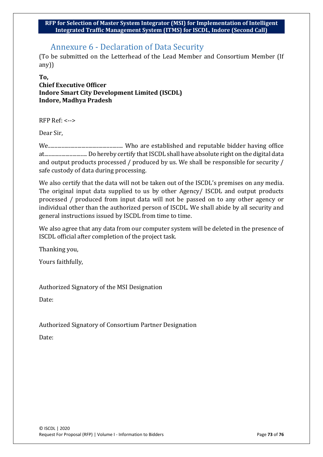## Annexure 6 - Declaration of Data Security

(To be submitted on the Letterhead of the Lead Member and Consortium Member (If any))

### **To, Chief Executive Officer Indore Smart City Development Limited (ISCDL) Indore, Madhya Pradesh**

RFP Ref: <-->

Dear Sir,

We........................................................ Who are established and reputable bidder having office at................................ Do hereby certify that ISCDL shall have absolute right on the digital data and output products processed / produced by us. We shall be responsible for security / safe custody of data during processing.

We also certify that the data will not be taken out of the ISCDL's premises on any media. The original input data supplied to us by other Agency/ ISCDL and output products processed / produced from input data will not be passed on to any other agency or individual other than the authorized person of ISCDL. We shall abide by all security and general instructions issued by ISCDL from time to time.

We also agree that any data from our computer system will be deleted in the presence of ISCDL official after completion of the project task.

Thanking you,

Yours faithfully,

Authorized Signatory of the MSI Designation

Date:

Authorized Signatory of Consortium Partner Designation

Date: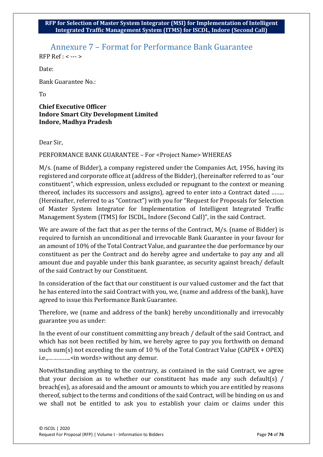# Annexure 7 – Format for Performance Bank Guarantee

RFP Ref : < --- >

Date:

Bank Guarantee No.:

To

**Chief Executive Officer Indore Smart City Development Limited Indore, Madhya Pradesh**

Dear Sir,

PERFORMANCE BANK GUARANTEE - For <Project Name> WHEREAS

M/s. (name of Bidder), a company registered under the Companies Act, 1956, having its registered and corporate office at (address of the Bidder), (hereinafter referred to as "our constituent", which expression, unless excluded or repugnant to the context or meaning thereof, includes its successors and assigns), agreed to enter into a Contract dated …….. (Hereinafter, referred to as "Contract") with you for "Request for Proposals for Selection of Master System Integrator for Implementation of Intelligent Integrated Traffic Management System (ITMS) for ISCDL, Indore (Second Call)", in the said Contract.

We are aware of the fact that as per the terms of the Contract, M/s. (name of Bidder) is required to furnish an unconditional and irrevocable Bank Guarantee in your favour for an amount of 10% of the Total Contract Value, and guarantee the due performance by our constituent as per the Contract and do hereby agree and undertake to pay any and all amount due and payable under this bank guarantee, as security against breach/ default of the said Contract by our Constituent.

In consideration of the fact that our constituent is our valued customer and the fact that he has entered into the said Contract with you, we, (name and address of the bank), have agreed to issue this Performance Bank Guarantee.

Therefore, we (name and address of the bank) hereby unconditionally and irrevocably guarantee you as under:

In the event of our constituent committing any breach / default of the said Contract, and which has not been rectified by him, we hereby agree to pay you forthwith on demand such sum(s) not exceeding the sum of 10 % of the Total Contract Value (CAPEX + OPEX) i.e.,…………..<in words> without any demur.

Notwithstanding anything to the contrary, as contained in the said Contract, we agree that your decision as to whether our constituent has made any such default(s) / breach(es), as aforesaid and the amount or amounts to which you are entitled by reasons thereof, subject to the terms and conditions of the said Contract, will be binding on us and we shall not be entitled to ask you to establish your claim or claims under this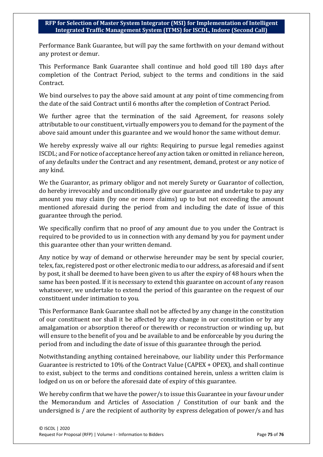Performance Bank Guarantee, but will pay the same forthwith on your demand without any protest or demur.

This Performance Bank Guarantee shall continue and hold good till 180 days after completion of the Contract Period, subject to the terms and conditions in the said Contract.

We bind ourselves to pay the above said amount at any point of time commencing from the date of the said Contract until 6 months after the completion of Contract Period.

We further agree that the termination of the said Agreement, for reasons solely attributable to our constituent, virtually empowers you to demand for the payment of the above said amount under this guarantee and we would honor the same without demur.

We hereby expressly waive all our rights: Requiring to pursue legal remedies against ISCDL; and For notice of acceptance hereof any action taken or omitted in reliance hereon, of any defaults under the Contract and any resentment, demand, protest or any notice of any kind.

We the Guarantor, as primary obligor and not merely Surety or Guarantor of collection, do hereby irrevocably and unconditionally give our guarantee and undertake to pay any amount you may claim (by one or more claims) up to but not exceeding the amount mentioned aforesaid during the period from and including the date of issue of this guarantee through the period.

We specifically confirm that no proof of any amount due to you under the Contract is required to be provided to us in connection with any demand by you for payment under this guarantee other than your written demand.

Any notice by way of demand or otherwise hereunder may be sent by special courier, telex, fax, registered post or other electronic media to our address, as aforesaid and if sent by post, it shall be deemed to have been given to us after the expiry of 48 hours when the same has been posted. If it is necessary to extend this guarantee on account of any reason whatsoever, we undertake to extend the period of this guarantee on the request of our constituent under intimation to you.

This Performance Bank Guarantee shall not be affected by any change in the constitution of our constituent nor shall it be affected by any change in our constitution or by any amalgamation or absorption thereof or therewith or reconstruction or winding up, but will ensure to the benefit of you and be available to and be enforceable by you during the period from and including the date of issue of this guarantee through the period.

Notwithstanding anything contained hereinabove, our liability under this Performance Guarantee is restricted to 10% of the Contract Value (CAPEX + OPEX), and shall continue to exist, subject to the terms and conditions contained herein, unless a written claim is lodged on us on or before the aforesaid date of expiry of this guarantee.

We hereby confirm that we have the power/s to issue this Guarantee in your favour under the Memorandum and Articles of Association / Constitution of our bank and the undersigned is / are the recipient of authority by express delegation of power/s and has